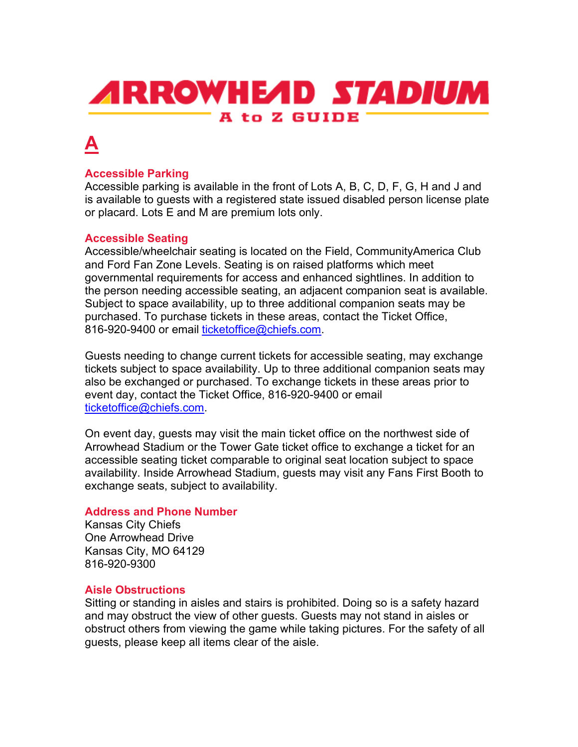# **ARROWHEAD STADIUM** A to Z GUIDE

## **A**

## **Accessible Parking**

Accessible parking is available in the front of Lots A, B, C, D, F, G, H and J and is available to guests with a registered state issued disabled person license plate or placard. Lots E and M are premium lots only.

## **Accessible Seating**

Accessible/wheelchair seating is located on the Field, CommunityAmerica Club and Ford Fan Zone Levels. Seating is on raised platforms which meet governmental requirements for access and enhanced sightlines. In addition to the person needing accessible seating, an adjacent companion seat is available. Subject to space availability, up to three additional companion seats may be purchased. To purchase tickets in these areas, contact the Ticket Office, 816-920-9400 or email [ticketoffice@chiefs.com.](mailto:ticketoffice@chiefs.com)

Guests needing to change current tickets for accessible seating, may exchange tickets subject to space availability. Up to three additional companion seats may also be exchanged or purchased. To exchange tickets in these areas prior to event day, contact the Ticket Office, 816-920-9400 or email [ticketoffice@chiefs.com.](mailto:ticketoffice@chiefs.com)

On event day, guests may visit the main ticket office on the northwest side of Arrowhead Stadium or the Tower Gate ticket office to exchange a ticket for an accessible seating ticket comparable to original seat location subject to space availability. Inside Arrowhead Stadium, guests may visit any Fans First Booth to exchange seats, subject to availability.

## **Address and Phone Number**

Kansas City Chiefs One Arrowhead Drive Kansas City, MO 64129 816-920-9300

## **Aisle Obstructions**

Sitting or standing in aisles and stairs is prohibited. Doing so is a safety hazard and may obstruct the view of other guests. Guests may not stand in aisles or obstruct others from viewing the game while taking pictures. For the safety of all guests, please keep all items clear of the aisle.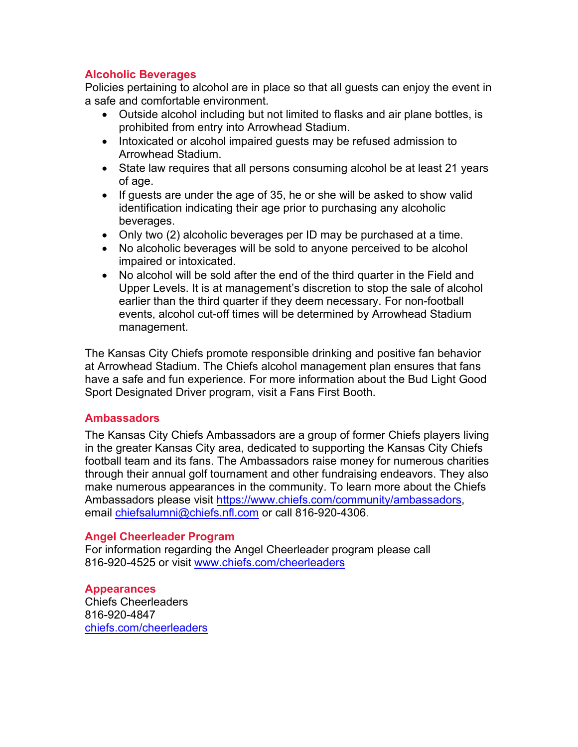## **Alcoholic Beverages**

Policies pertaining to alcohol are in place so that all guests can enjoy the event in a safe and comfortable environment.

- Outside alcohol including but not limited to flasks and air plane bottles, is prohibited from entry into Arrowhead Stadium.
- Intoxicated or alcohol impaired guests may be refused admission to Arrowhead Stadium.
- State law requires that all persons consuming alcohol be at least 21 years of age.
- If guests are under the age of 35, he or she will be asked to show valid identification indicating their age prior to purchasing any alcoholic beverages.
- Only two (2) alcoholic beverages per ID may be purchased at a time.
- No alcoholic beverages will be sold to anyone perceived to be alcohol impaired or intoxicated.
- No alcohol will be sold after the end of the third quarter in the Field and Upper Levels. It is at management's discretion to stop the sale of alcohol earlier than the third quarter if they deem necessary. For non-football events, alcohol cut-off times will be determined by Arrowhead Stadium management.

The Kansas City Chiefs promote responsible drinking and positive fan behavior at Arrowhead Stadium. The Chiefs alcohol management plan ensures that fans have a safe and fun experience. For more information about the Bud Light Good Sport Designated Driver program, visit a Fans First Booth.

## **Ambassadors**

The Kansas City Chiefs Ambassadors are a group of former Chiefs players living in the greater Kansas City area, dedicated to supporting the Kansas City Chiefs football team and its fans. The Ambassadors raise money for numerous charities through their annual golf tournament and other fundraising endeavors. They also make numerous appearances in the community. To learn more about the Chiefs Ambassadors please visit [https://www.chiefs.com/community/ambassadors,](https://www.chiefs.com/community/ambassadors) email [chiefsalumni@chiefs.nfl.com](mailto:chiefsalumni@chiefs.nfl.com) or call 816-920-4306.

## **Angel Cheerleader Program**

For information regarding the Angel Cheerleader program please call 816-920-4525 or visit [www.chiefs.com/cheerleaders](http://www.chiefs.com/cheerleaders)

## **Appearances**

Chiefs Cheerleaders 816-920-4847 [chiefs.com/cheerleaders](http://www.chiefs.com/cheerleaders/index.html)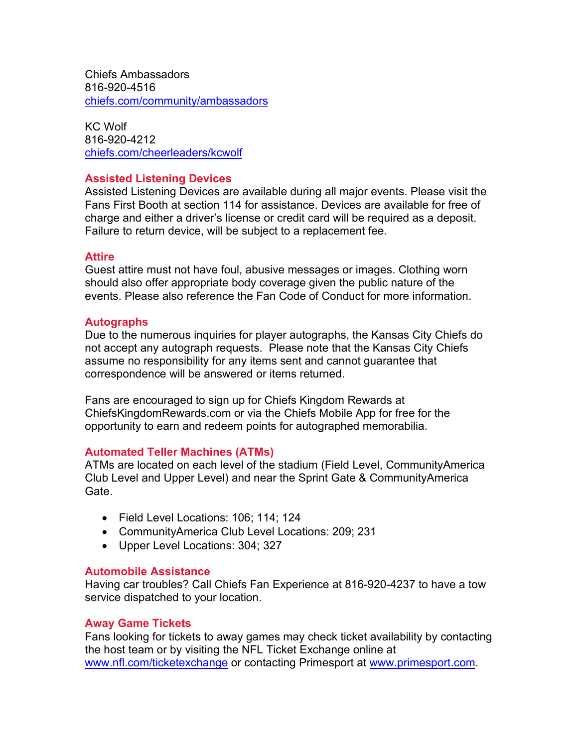Chiefs Ambassadors 816-920-4516 [chiefs.com/community/ambassadors](https://www.chiefs.com/community/ambassadors)

KC Wolf 816-920-4212 [chiefs.com/cheerleaders/kcwolf](https://www.chiefs.com/cheerleaders/kcwolf)

## **Assisted Listening Devices**

Assisted Listening Devices are available during all major events. Please visit the Fans First Booth at section 114 for assistance. Devices are available for free of charge and either a driver's license or credit card will be required as a deposit. Failure to return device, will be subject to a replacement fee.

### **Attire**

Guest attire must not have foul, abusive messages or images. Clothing worn should also offer appropriate body coverage given the public nature of the events. Please also reference the Fan Code of Conduct for more information.

### **Autographs**

Due to the numerous inquiries for player autographs, the Kansas City Chiefs do not accept any autograph requests. Please note that the Kansas City Chiefs assume no responsibility for any items sent and cannot guarantee that correspondence will be answered or items returned.

Fans are encouraged to sign up for Chiefs Kingdom Rewards at ChiefsKingdomRewards.com or via the Chiefs Mobile App for free for the opportunity to earn and redeem points for autographed memorabilia.

## **Automated Teller Machines (ATMs)**

ATMs are located on each level of the stadium (Field Level, CommunityAmerica Club Level and Upper Level) and near the Sprint Gate & CommunityAmerica Gate.

- Field Level Locations: 106; 114; 124
- CommunityAmerica Club Level Locations: 209; 231
- Upper Level Locations: 304; 327

#### **Automobile Assistance**

Having car troubles? Call Chiefs Fan Experience at 816-920-4237 to have a tow service dispatched to your location.

#### **Away Game Tickets**

Fans looking for tickets to away games may check ticket availability by contacting the host team or by visiting the NFL Ticket Exchange online at [www.nfl.com/ticketexchange](http://www.nfl.com/ticketexchange) or contacting Primesport at [www.primesport.com.](http://www.primesport.com/)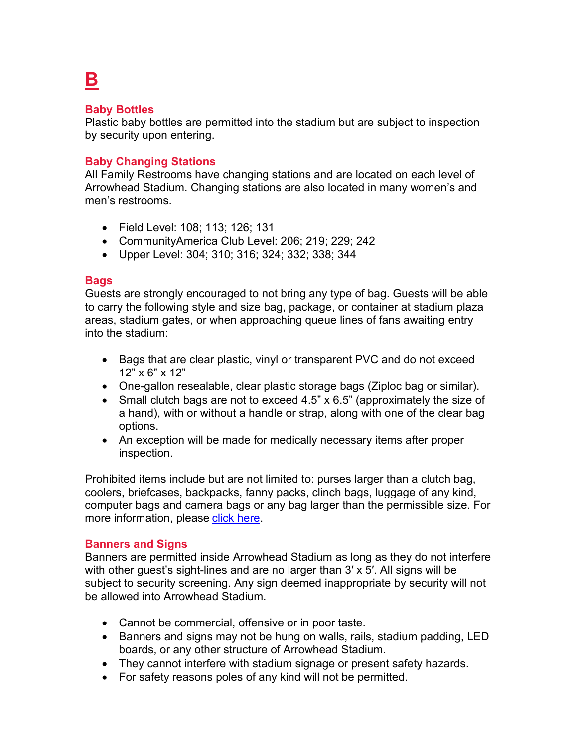## **Baby Bottles**

**B**

Plastic baby bottles are permitted into the stadium but are subject to inspection by security upon entering.

## **Baby Changing Stations**

All Family Restrooms have changing stations and are located on each level of Arrowhead Stadium. Changing stations are also located in many women's and men's restrooms.

- Field Level: 108; 113; 126; 131
- CommunityAmerica Club Level: 206; 219; 229; 242
- Upper Level: 304; 310; 316; 324; 332; 338; 344

## **Bags**

Guests are strongly encouraged to not bring any type of bag. Guests will be able to carry the following style and size bag, package, or container at stadium plaza areas, stadium gates, or when approaching queue lines of fans awaiting entry into the stadium:

- Bags that are clear plastic, vinyl or transparent PVC and do not exceed 12" x 6" x 12"
- One-gallon resealable, clear plastic storage bags (Ziploc bag or similar).
- Small clutch bags are not to exceed 4.5" x 6.5" (approximately the size of a hand), with or without a handle or strap, along with one of the clear bag options.
- An exception will be made for medically necessary items after proper inspection.

Prohibited items include but are not limited to: purses larger than a clutch bag, coolers, briefcases, backpacks, fanny packs, clinch bags, luggage of any kind, computer bags and camera bags or any bag larger than the permissible size. For more information, please [click here.](https://www.chiefs.com/stadium/clearbag)

## **Banners and Signs**

Banners are permitted inside Arrowhead Stadium as long as they do not interfere with other guest's sight-lines and are no larger than 3′ x 5′. All signs will be subject to security screening. Any sign deemed inappropriate by security will not be allowed into Arrowhead Stadium.

- Cannot be commercial, offensive or in poor taste.
- Banners and signs may not be hung on walls, rails, stadium padding, LED boards, or any other structure of Arrowhead Stadium.
- They cannot interfere with stadium signage or present safety hazards.
- For safety reasons poles of any kind will not be permitted.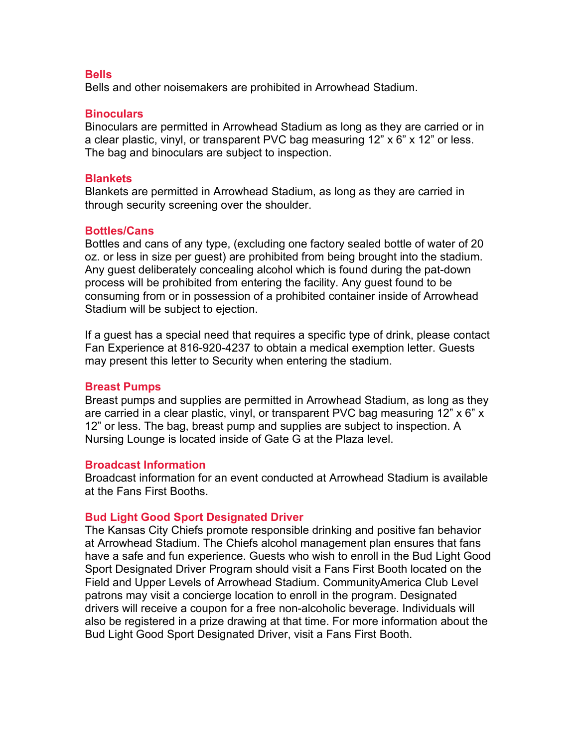#### **Bells**

Bells and other noisemakers are prohibited in Arrowhead Stadium.

#### **Binoculars**

Binoculars are permitted in Arrowhead Stadium as long as they are carried or in a clear plastic, vinyl, or transparent PVC bag measuring 12" x 6" x 12" or less. The bag and binoculars are subject to inspection.

#### **Blankets**

Blankets are permitted in Arrowhead Stadium, as long as they are carried in through security screening over the shoulder.

#### **Bottles/Cans**

Bottles and cans of any type, (excluding one factory sealed bottle of water of 20 oz. or less in size per guest) are prohibited from being brought into the stadium. Any guest deliberately concealing alcohol which is found during the pat-down process will be prohibited from entering the facility. Any guest found to be consuming from or in possession of a prohibited container inside of Arrowhead Stadium will be subject to ejection.

If a guest has a special need that requires a specific type of drink, please contact Fan Experience at 816-920-4237 to obtain a medical exemption letter. Guests may present this letter to Security when entering the stadium.

#### **Breast Pumps**

Breast pumps and supplies are permitted in Arrowhead Stadium, as long as they are carried in a clear plastic, vinyl, or transparent PVC bag measuring 12" x 6" x 12" or less. The bag, breast pump and supplies are subject to inspection. A Nursing Lounge is located inside of Gate G at the Plaza level.

#### **Broadcast Information**

Broadcast information for an event conducted at Arrowhead Stadium is available at the Fans First Booths.

#### **Bud Light Good Sport Designated Driver**

The Kansas City Chiefs promote responsible drinking and positive fan behavior at Arrowhead Stadium. The Chiefs alcohol management plan ensures that fans have a safe and fun experience. Guests who wish to enroll in the Bud Light Good Sport Designated Driver Program should visit a Fans First Booth located on the Field and Upper Levels of Arrowhead Stadium. CommunityAmerica Club Level patrons may visit a concierge location to enroll in the program. Designated drivers will receive a coupon for a free non-alcoholic beverage. Individuals will also be registered in a prize drawing at that time. For more information about the Bud Light Good Sport Designated Driver, visit a Fans First Booth.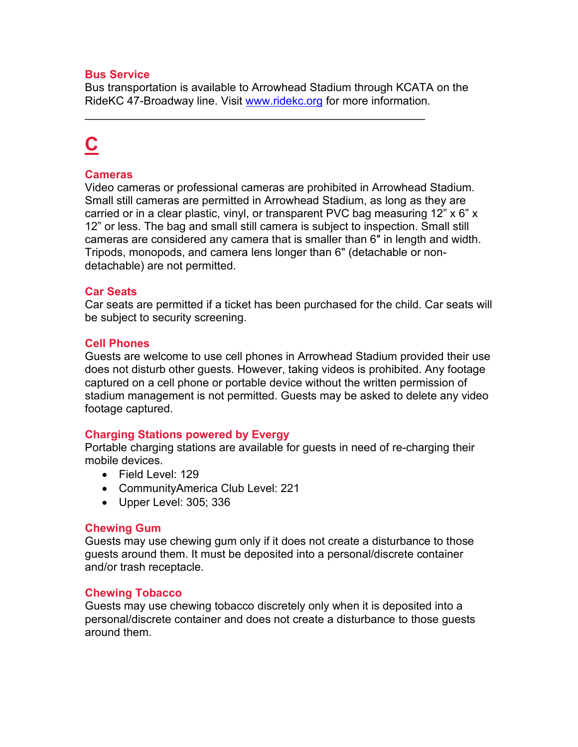## **Bus Service**

Bus transportation is available to Arrowhead Stadium through KCATA on the RideKC 47-Broadway line. Visit [www.ridekc.org](http://www.ridekc.org/) for more information.

\_\_\_\_\_\_\_\_\_\_\_\_\_\_\_\_\_\_\_\_\_\_\_\_\_\_\_\_\_\_\_\_\_\_\_\_\_\_\_\_\_\_\_\_\_\_\_\_\_\_\_\_\_\_

# **C**

#### **Cameras**

Video cameras or professional cameras are prohibited in Arrowhead Stadium. Small still cameras are permitted in Arrowhead Stadium, as long as they are carried or in a clear plastic, vinyl, or transparent PVC bag measuring 12" x 6" x 12" or less. The bag and small still camera is subject to inspection. Small still cameras are considered any camera that is smaller than 6″ in length and width. Tripods, monopods, and camera lens longer than 6" (detachable or nondetachable) are not permitted.

#### **Car Seats**

Car seats are permitted if a ticket has been purchased for the child. Car seats will be subject to security screening.

#### **Cell Phones**

Guests are welcome to use cell phones in Arrowhead Stadium provided their use does not disturb other guests. However, taking videos is prohibited. Any footage captured on a cell phone or portable device without the written permission of stadium management is not permitted. Guests may be asked to delete any video footage captured.

#### **Charging Stations powered by Evergy**

Portable charging stations are available for guests in need of re-charging their mobile devices.

- Field Level: 129
- CommunityAmerica Club Level: 221
- Upper Level: 305; 336

#### **Chewing Gum**

Guests may use chewing gum only if it does not create a disturbance to those guests around them. It must be deposited into a personal/discrete container and/or trash receptacle.

#### **Chewing Tobacco**

Guests may use chewing tobacco discretely only when it is deposited into a personal/discrete container and does not create a disturbance to those guests around them.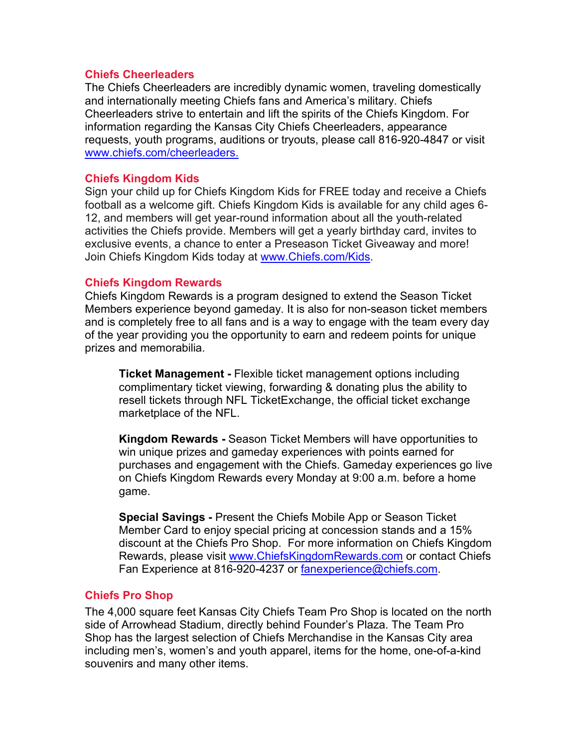#### **Chiefs Cheerleaders**

The Chiefs Cheerleaders are incredibly dynamic women, traveling domestically and internationally meeting Chiefs fans and America's military. Chiefs Cheerleaders strive to entertain and lift the spirits of the Chiefs Kingdom. For information regarding the Kansas City Chiefs Cheerleaders, appearance requests, youth programs, auditions or tryouts, please call 816-920-4847 or visit [www.chiefs.com/cheerleaders.](http://www.chiefs.com/cheerleaders)

### **Chiefs Kingdom Kids**

Sign your child up for Chiefs Kingdom Kids for FREE today and receive a Chiefs football as a welcome gift. Chiefs Kingdom Kids is available for any child ages 6- 12, and members will get year-round information about all the youth-related activities the Chiefs provide. Members will get a yearly birthday card, invites to exclusive events, a chance to enter a Preseason Ticket Giveaway and more! Join Chiefs Kingdom Kids today at [www.Chiefs.com/Kids.](http://www.chiefs.com/Kids)

### **Chiefs Kingdom Rewards**

Chiefs Kingdom Rewards is a program designed to extend the Season Ticket Members experience beyond gameday. It is also for non-season ticket members and is completely free to all fans and is a way to engage with the team every day of the year providing you the opportunity to earn and redeem points for unique prizes and memorabilia.

**Ticket Management -** Flexible ticket management options including complimentary ticket viewing, forwarding & donating plus the ability to resell tickets through NFL TicketExchange, the official ticket exchange marketplace of the NFL.

**Kingdom Rewards -** Season Ticket Members will have opportunities to win unique prizes and gameday experiences with points earned for purchases and engagement with the Chiefs. Gameday experiences go live on Chiefs Kingdom Rewards every Monday at 9:00 a.m. before a home game.

**Special Savings -** Present the Chiefs Mobile App or Season Ticket Member Card to enjoy special pricing at concession stands and a 15% discount at the Chiefs Pro Shop. For more information on Chiefs Kingdom Rewards, please visit [www.ChiefsKingdomRewards.com](http://www.chiefskingdomrewards.com/) or contact Chiefs Fan Experience at 816-920-4237 or [fanexperience@chiefs.com.](mailto:fanexperience@chiefs.com)

## **Chiefs Pro Shop**

The 4,000 square feet Kansas City Chiefs Team Pro Shop is located on the north side of Arrowhead Stadium, directly behind Founder's Plaza. The Team Pro Shop has the largest selection of Chiefs Merchandise in the Kansas City area including men's, women's and youth apparel, items for the home, one-of-a-kind souvenirs and many other items.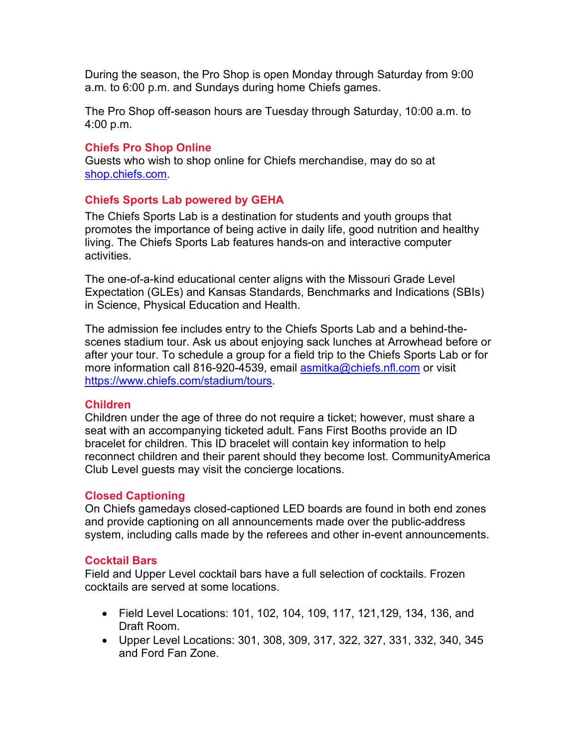During the season, the Pro Shop is open Monday through Saturday from 9:00 a.m. to 6:00 p.m. and Sundays during home Chiefs games.

The Pro Shop off-season hours are Tuesday through Saturday, 10:00 a.m. to 4:00 p.m.

## **Chiefs Pro Shop Online**

Guests who wish to shop online for Chiefs merchandise, may do so at [shop.chiefs.com.](https://shop.chiefs.com/)

## **Chiefs Sports Lab powered by GEHA**

The Chiefs Sports Lab is a destination for students and youth groups that promotes the importance of being active in daily life, good nutrition and healthy living. The Chiefs Sports Lab features hands-on and interactive computer activities.

The one-of-a-kind educational center aligns with the Missouri Grade Level Expectation (GLEs) and Kansas Standards, Benchmarks and Indications (SBIs) in Science, Physical Education and Health.

The admission fee includes entry to the Chiefs Sports Lab and a behind-thescenes stadium tour. Ask us about enjoying sack lunches at Arrowhead before or after your tour. To schedule a group for a field trip to the Chiefs Sports Lab or for more information call 816-920-4539, email [asmitka@chiefs.nfl.com](mailto:asmitka@chiefs.nfl.com) or visit [https://www.chiefs.com/stadium/tours.](https://www.chiefs.com/stadium/tours)

## **Children**

Children under the age of three do not require a ticket; however, must share a seat with an accompanying ticketed adult. Fans First Booths provide an ID bracelet for children. This ID bracelet will contain key information to help reconnect children and their parent should they become lost. CommunityAmerica Club Level guests may visit the concierge locations.

## **Closed Captioning**

On Chiefs gamedays closed-captioned LED boards are found in both end zones and provide captioning on all announcements made over the public-address system, including calls made by the referees and other in-event announcements.

## **Cocktail Bars**

Field and Upper Level cocktail bars have a full selection of cocktails. Frozen cocktails are served at some locations.

- Field Level Locations: 101, 102, 104, 109, 117, 121,129, 134, 136, and Draft Room.
- Upper Level Locations: 301, 308, 309, 317, 322, 327, 331, 332, 340, 345 and Ford Fan Zone.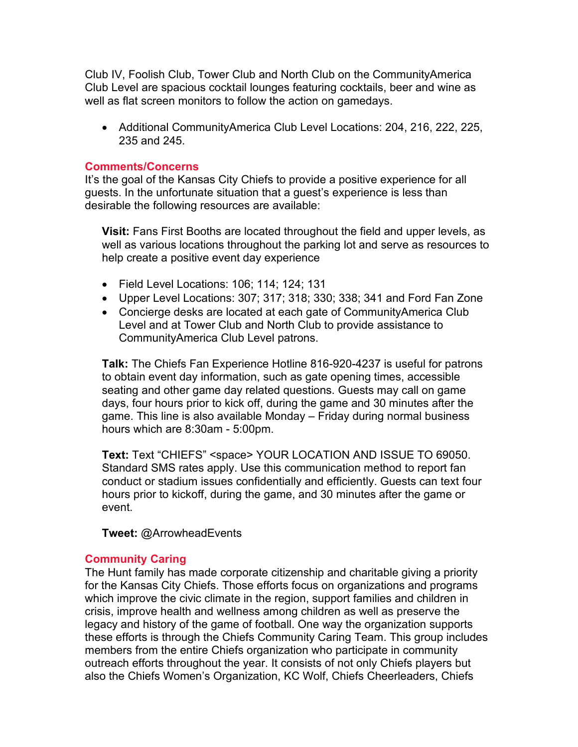Club IV, Foolish Club, Tower Club and North Club on the CommunityAmerica Club Level are spacious cocktail lounges featuring cocktails, beer and wine as well as flat screen monitors to follow the action on gamedays.

• Additional CommunityAmerica Club Level Locations: 204, 216, 222, 225, 235 and 245.

### **Comments/Concerns**

It's the goal of the Kansas City Chiefs to provide a positive experience for all guests. In the unfortunate situation that a guest's experience is less than desirable the following resources are available:

**Visit:** Fans First Booths are located throughout the field and upper levels, as well as various locations throughout the parking lot and serve as resources to help create a positive event day experience

- Field Level Locations: 106; 114; 124; 131
- Upper Level Locations: 307; 317; 318; 330; 338; 341 and Ford Fan Zone
- Concierge desks are located at each gate of CommunityAmerica Club Level and at Tower Club and North Club to provide assistance to CommunityAmerica Club Level patrons.

**Talk:** The Chiefs Fan Experience Hotline 816-920-4237 is useful for patrons to obtain event day information, such as gate opening times, accessible seating and other game day related questions. Guests may call on game days, four hours prior to kick off, during the game and 30 minutes after the game. This line is also available Monday – Friday during normal business hours which are 8:30am - 5:00pm.

**Text:** Text "CHIEFS" <space> YOUR LOCATION AND ISSUE TO 69050. Standard SMS rates apply. Use this communication method to report fan conduct or stadium issues confidentially and efficiently. Guests can text four hours prior to kickoff, during the game, and 30 minutes after the game or event.

**Tweet:** @ArrowheadEvents

## **Community Caring**

The Hunt family has made corporate citizenship and charitable giving a priority for the Kansas City Chiefs. Those efforts focus on organizations and programs which improve the civic climate in the region, support families and children in crisis, improve health and wellness among children as well as preserve the legacy and history of the game of football. One way the organization supports these efforts is through the Chiefs Community Caring Team. This group includes members from the entire Chiefs organization who participate in community outreach efforts throughout the year. It consists of not only Chiefs players but also the Chiefs Women's Organization, KC Wolf, Chiefs Cheerleaders, Chiefs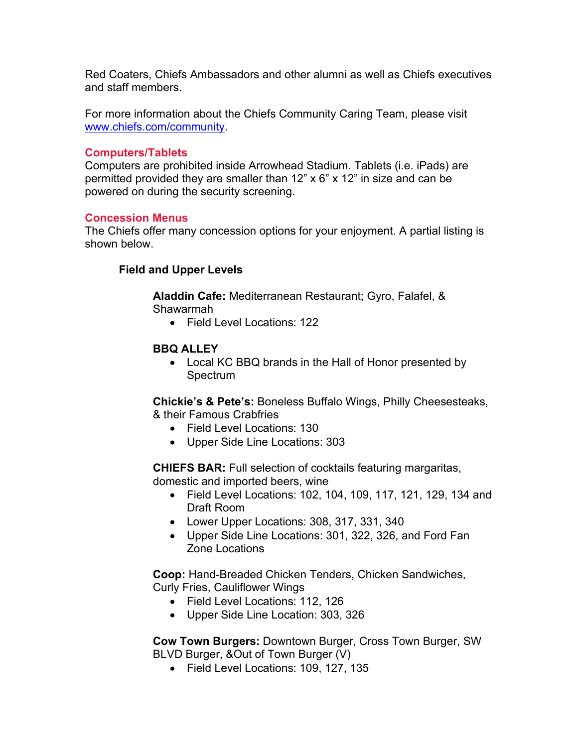Red Coaters, Chiefs Ambassadors and other alumni as well as Chiefs executives and staff members.

For more information about the Chiefs Community Caring Team, please visit [www.chiefs.com/community.](http://www.chiefs.com/community)

#### **Computers/Tablets**

Computers are prohibited inside Arrowhead Stadium. Tablets (i.e. iPads) are permitted provided they are smaller than 12" x 6" x 12" in size and can be powered on during the security screening.

### **Concession Menus**

The Chiefs offer many concession options for your enjoyment. A partial listing is shown below.

## **Field and Upper Levels**

**Aladdin Cafe:** Mediterranean Restaurant; Gyro, Falafel, & Shawarmah

• Field Level Locations: 122

## **BBQ ALLEY**

• Local KC BBQ brands in the Hall of Honor presented by **Spectrum** 

**Chickie's & Pete's:** Boneless Buffalo Wings, Philly Cheesesteaks, & their Famous Crabfries

- Field Level Locations: 130
- Upper Side Line Locations: 303

**CHIEFS BAR:** Full selection of cocktails featuring margaritas, domestic and imported beers, wine

- Field Level Locations: 102, 104, 109, 117, 121, 129, 134 and Draft Room
- Lower Upper Locations: 308, 317, 331, 340
- Upper Side Line Locations: 301, 322, 326, and Ford Fan Zone Locations

**Coop:** Hand-Breaded Chicken Tenders, Chicken Sandwiches, Curly Fries, Cauliflower Wings

- Field Level Locations: 112, 126
- Upper Side Line Location: 303, 326

**Cow Town Burgers:** Downtown Burger, Cross Town Burger, SW BLVD Burger, &Out of Town Burger (V)

• Field Level Locations: 109, 127, 135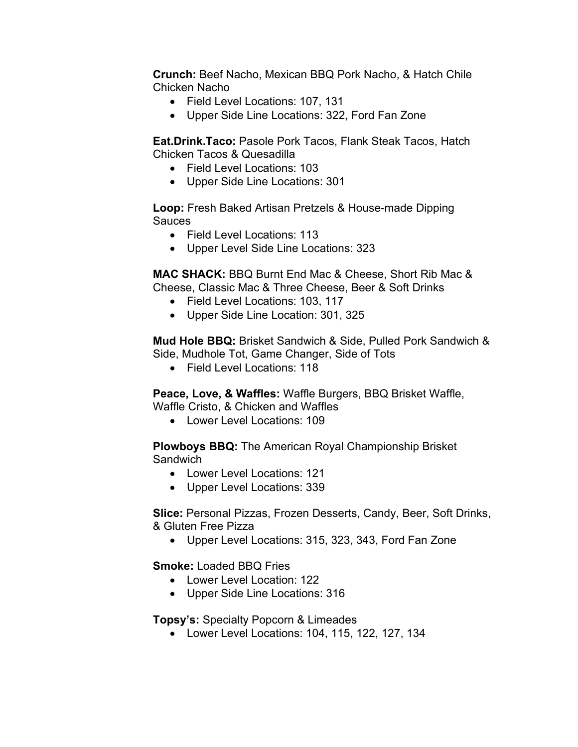**Crunch:** Beef Nacho, Mexican BBQ Pork Nacho, & Hatch Chile Chicken Nacho

- Field Level Locations: 107, 131
- Upper Side Line Locations: 322, Ford Fan Zone

**Eat.Drink.Taco:** Pasole Pork Tacos, Flank Steak Tacos, Hatch Chicken Tacos & Quesadilla

- Field Level Locations: 103
- Upper Side Line Locations: 301

**Loop:** Fresh Baked Artisan Pretzels & House-made Dipping **Sauces** 

- Field Level Locations: 113
- Upper Level Side Line Locations: 323

**MAC SHACK:** BBQ Burnt End Mac & Cheese, Short Rib Mac & Cheese, Classic Mac & Three Cheese, Beer & Soft Drinks

- Field Level Locations: 103, 117
- Upper Side Line Location: 301, 325

**Mud Hole BBQ:** Brisket Sandwich & Side, Pulled Pork Sandwich & Side, Mudhole Tot, Game Changer, Side of Tots

• Field Level Locations: 118

**Peace, Love, & Waffles:** Waffle Burgers, BBQ Brisket Waffle, Waffle Cristo, & Chicken and Waffles

• Lower Level Locations: 109

**Plowboys BBQ:** The American Royal Championship Brisket **Sandwich** 

- Lower Level Locations: 121
- Upper Level Locations: 339

**Slice:** Personal Pizzas, Frozen Desserts, Candy, Beer, Soft Drinks, & Gluten Free Pizza

• Upper Level Locations: 315, 323, 343, Ford Fan Zone

**Smoke:** Loaded BBQ Fries

- Lower Level Location: 122
- Upper Side Line Locations: 316

**Topsy's:** Specialty Popcorn & Limeades

• Lower Level Locations: 104, 115, 122, 127, 134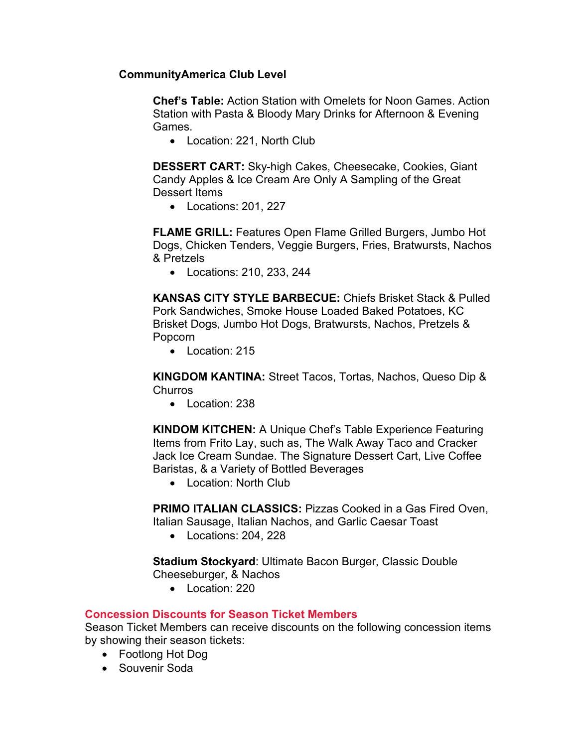## **CommunityAmerica Club Level**

**Chef's Table:** Action Station with Omelets for Noon Games. Action Station with Pasta & Bloody Mary Drinks for Afternoon & Evening Games.

• Location: 221, North Club

**DESSERT CART:** Sky-high Cakes, Cheesecake, Cookies, Giant Candy Apples & Ice Cream Are Only A Sampling of the Great Dessert Items

• Locations: 201, 227

**FLAME GRILL:** Features Open Flame Grilled Burgers, Jumbo Hot Dogs, Chicken Tenders, Veggie Burgers, Fries, Bratwursts, Nachos & Pretzels

• Locations: 210, 233, 244

**KANSAS CITY STYLE BARBECUE:** Chiefs Brisket Stack & Pulled Pork Sandwiches, Smoke House Loaded Baked Potatoes, KC Brisket Dogs, Jumbo Hot Dogs, Bratwursts, Nachos, Pretzels & Popcorn

• Location: 215

**KINGDOM KANTINA:** Street Tacos, Tortas, Nachos, Queso Dip & **Churros** 

• Location: 238

**KINDOM KITCHEN:** A Unique Chef's Table Experience Featuring Items from Frito Lay, such as, The Walk Away Taco and Cracker Jack Ice Cream Sundae. The Signature Dessert Cart, Live Coffee Baristas, & a Variety of Bottled Beverages

• Location: North Club

**PRIMO ITALIAN CLASSICS:** Pizzas Cooked in a Gas Fired Oven, Italian Sausage, Italian Nachos, and Garlic Caesar Toast

• Locations: 204, 228

**Stadium Stockyard**: Ultimate Bacon Burger, Classic Double

Cheeseburger, & Nachos

• Location: 220

## **Concession Discounts for Season Ticket Members**

Season Ticket Members can receive discounts on the following concession items by showing their season tickets:

- Footlong Hot Dog
- Souvenir Soda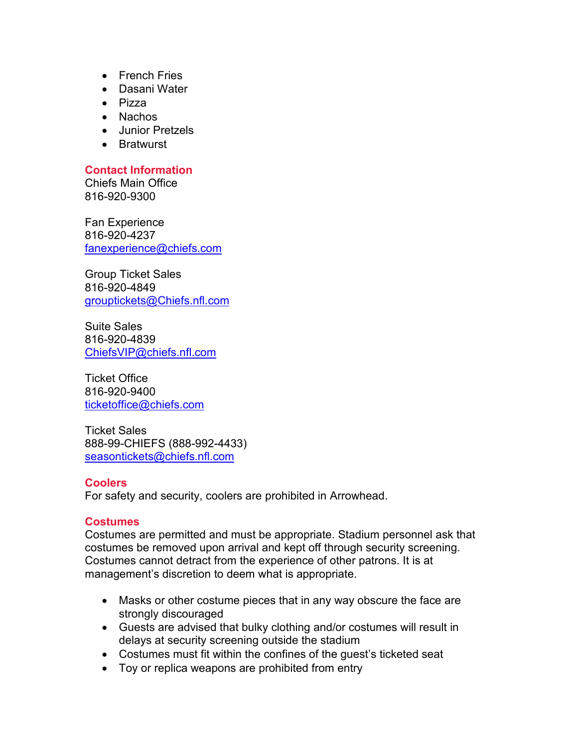- French Fries
- Dasani Water
- Pizza
- Nachos
- Junior Pretzels
- Bratwurst

## **Contact Information**

Chiefs Main Office 816-920-9300

Fan Experience 816-920-4237 [fanexperience@chiefs.com](mailto:fanexperience@chiefs.com)

Group Ticket Sales 816-920-4849 [grouptickets@Chiefs.nfl.com](mailto:grouptickets@Chiefs.nfl.com)

Suite Sales 816-920-4839 [ChiefsVIP@chiefs.nfl.com](mailto:ChiefsVIP@chiefs.nfl.com)

Ticket Office 816-920-9400 [ticketoffice@chiefs.com](mailto:ticketoffice@chiefs.com)

Ticket Sales 888-99-CHIEFS (888-992-4433) [seasontickets@chiefs.nfl.com](mailto:seasontickets@chiefs.nfl.com)

## **Coolers**

For safety and security, coolers are prohibited in Arrowhead.

## **Costumes**

Costumes are permitted and must be appropriate. Stadium personnel ask that costumes be removed upon arrival and kept off through security screening. Costumes cannot detract from the experience of other patrons. It is at management's discretion to deem what is appropriate.

- Masks or other costume pieces that in any way obscure the face are strongly discouraged
- Guests are advised that bulky clothing and/or costumes will result in delays at security screening outside the stadium
- Costumes must fit within the confines of the guest's ticketed seat
- Toy or replica weapons are prohibited from entry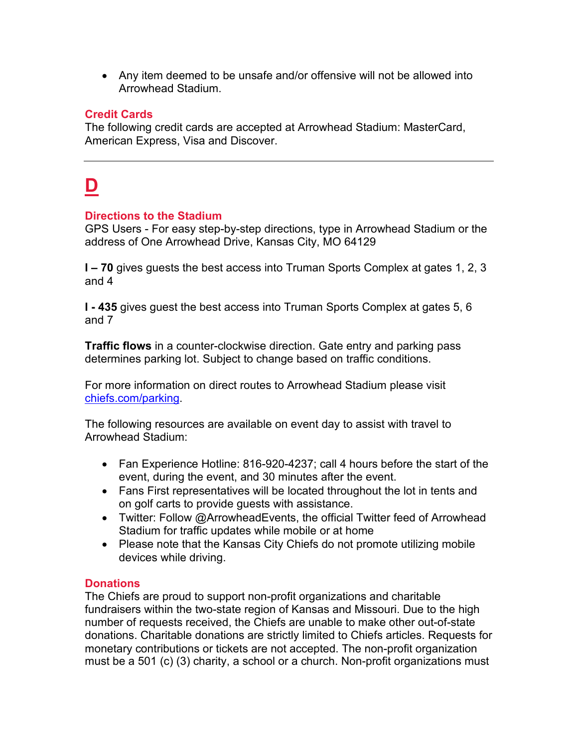• Any item deemed to be unsafe and/or offensive will not be allowed into Arrowhead Stadium.

## **Credit Cards**

The following credit cards are accepted at Arrowhead Stadium: MasterCard, American Express, Visa and Discover.

## **D**

## **Directions to the Stadium**

GPS Users - For easy step-by-step directions, type in Arrowhead Stadium or the address of One Arrowhead Drive, Kansas City, MO 64129

**I – 70** gives guests the best access into Truman Sports Complex at gates 1, 2, 3 and 4

**I - 435** gives guest the best access into Truman Sports Complex at gates 5, 6 and 7

**Traffic flows** in a counter-clockwise direction. Gate entry and parking pass determines parking lot. Subject to change based on traffic conditions.

For more information on direct routes to Arrowhead Stadium please visit chiefs.com/parking.

The following resources are available on event day to assist with travel to Arrowhead Stadium:

- Fan Experience Hotline: 816-920-4237; call 4 hours before the start of the event, during the event, and 30 minutes after the event.
- Fans First representatives will be located throughout the lot in tents and on golf carts to provide guests with assistance.
- Twitter: Follow @ArrowheadEvents, the official Twitter feed of Arrowhead Stadium for traffic updates while mobile or at home
- Please note that the Kansas City Chiefs do not promote utilizing mobile devices while driving.

## **Donations**

The Chiefs are proud to support non-profit organizations and charitable fundraisers within the two-state region of Kansas and Missouri. Due to the high number of requests received, the Chiefs are unable to make other out-of-state donations. Charitable donations are strictly limited to Chiefs articles. Requests for monetary contributions or tickets are not accepted. The non-profit organization must be a 501 (c) (3) charity, a school or a church. Non-profit organizations must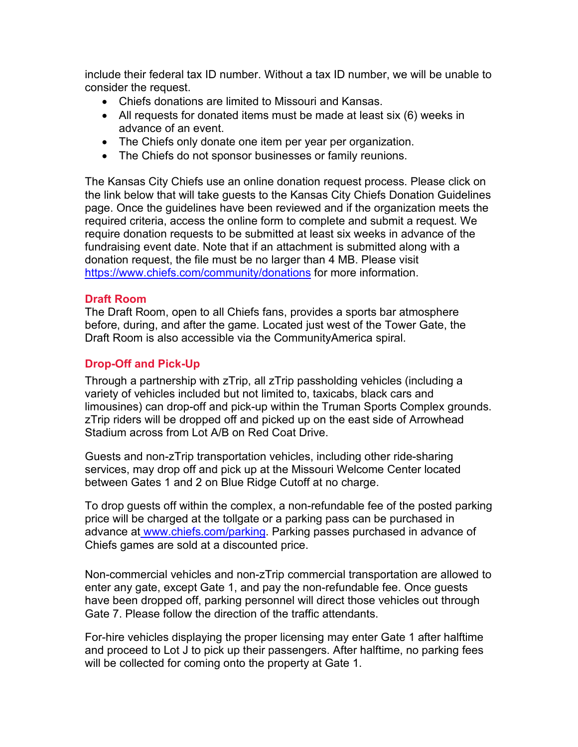include their federal tax ID number. Without a tax ID number, we will be unable to consider the request.

- Chiefs donations are limited to Missouri and Kansas.
- All requests for donated items must be made at least six (6) weeks in advance of an event.
- The Chiefs only donate one item per year per organization.
- The Chiefs do not sponsor businesses or family reunions.

The Kansas City Chiefs use an online donation request process. Please click on the link below that will take guests to the Kansas City Chiefs Donation Guidelines page. Once the guidelines have been reviewed and if the organization meets the required criteria, access the online form to complete and submit a request. We require donation requests to be submitted at least six weeks in advance of the fundraising event date. Note that if an attachment is submitted along with a donation request, the file must be no larger than 4 MB. Please visit <https://www.chiefs.com/community/donations> for more information.

## **Draft Room**

The Draft Room, open to all Chiefs fans, provides a sports bar atmosphere before, during, and after the game. Located just west of the Tower Gate, the Draft Room is also accessible via the CommunityAmerica spiral.

## **Drop-Off and Pick-Up**

Through a partnership with zTrip, all zTrip passholding vehicles (including a variety of vehicles included but not limited to, taxicabs, black cars and limousines) can drop-off and pick-up within the Truman Sports Complex grounds. zTrip riders will be dropped off and picked up on the east side of Arrowhead Stadium across from Lot A/B on Red Coat Drive.

Guests and non-zTrip transportation vehicles, including other ride-sharing services, may drop off and pick up at the Missouri Welcome Center located between Gates 1 and 2 on Blue Ridge Cutoff at no charge.

To drop guests off within the complex, a non-refundable fee of the posted parking price will be charged at the tollgate or a parking pass can be purchased in advance at [www.chiefs.com/parking.](http://www.chiefs.com/parking) Parking passes purchased in advance of Chiefs games are sold at a discounted price.

Non-commercial vehicles and non-zTrip commercial transportation are allowed to enter any gate, except Gate 1, and pay the non-refundable fee. Once guests have been dropped off, parking personnel will direct those vehicles out through Gate 7. Please follow the direction of the traffic attendants.

For-hire vehicles displaying the proper licensing may enter Gate 1 after halftime and proceed to Lot J to pick up their passengers. After halftime, no parking fees will be collected for coming onto the property at Gate 1.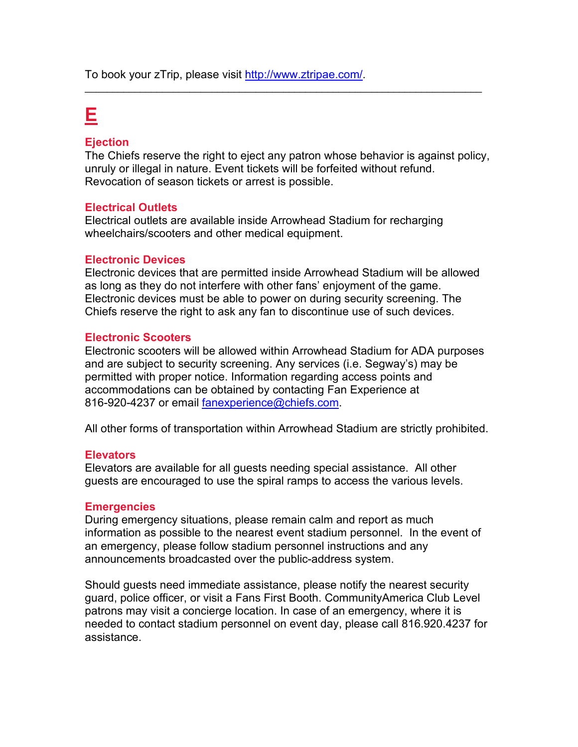To book your zTrip, please visit [http://www.ztripae.com/.](http://www.ztripae.com/)

## **E**

#### **Ejection**

The Chiefs reserve the right to eject any patron whose behavior is against policy, unruly or illegal in nature. Event tickets will be forfeited without refund. Revocation of season tickets or arrest is possible.

\_\_\_\_\_\_\_\_\_\_\_\_\_\_\_\_\_\_\_\_\_\_\_\_\_\_\_\_\_\_\_\_\_\_\_\_\_\_\_\_\_\_\_\_\_\_\_\_\_\_\_\_\_\_\_\_\_\_\_\_\_\_\_\_\_\_\_\_\_\_\_\_

### **Electrical Outlets**

Electrical outlets are available inside Arrowhead Stadium for recharging wheelchairs/scooters and other medical equipment.

#### **Electronic Devices**

Electronic devices that are permitted inside Arrowhead Stadium will be allowed as long as they do not interfere with other fans' enjoyment of the game. Electronic devices must be able to power on during security screening. The Chiefs reserve the right to ask any fan to discontinue use of such devices.

#### **Electronic Scooters**

Electronic scooters will be allowed within Arrowhead Stadium for ADA purposes and are subject to security screening. Any services (i.e. Segway's) may be permitted with proper notice. Information regarding access points and accommodations can be obtained by contacting Fan Experience at 816-920-4237 or email [fanexperience@chiefs.com.](mailto:fanexperience@chiefs.com)

All other forms of transportation within Arrowhead Stadium are strictly prohibited.

#### **Elevators**

Elevators are available for all guests needing special assistance. All other guests are encouraged to use the spiral ramps to access the various levels.

#### **Emergencies**

During emergency situations, please remain calm and report as much information as possible to the nearest event stadium personnel. In the event of an emergency, please follow stadium personnel instructions and any announcements broadcasted over the public-address system.

Should guests need immediate assistance, please notify the nearest security guard, police officer, or visit a Fans First Booth. CommunityAmerica Club Level patrons may visit a concierge location. In case of an emergency, where it is needed to contact stadium personnel on event day, please call 816.920.4237 for assistance.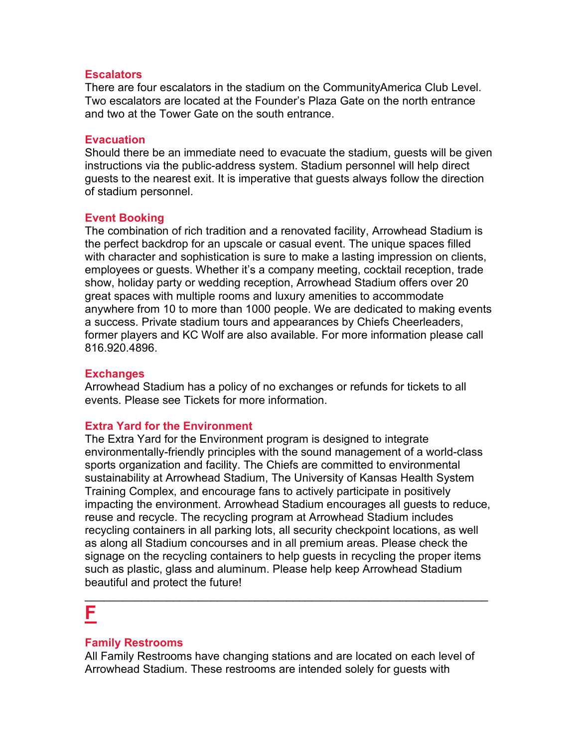#### **Escalators**

There are four escalators in the stadium on the CommunityAmerica Club Level. Two escalators are located at the Founder's Plaza Gate on the north entrance and two at the Tower Gate on the south entrance.

#### **Evacuation**

Should there be an immediate need to evacuate the stadium, guests will be given instructions via the public-address system. Stadium personnel will help direct guests to the nearest exit. It is imperative that guests always follow the direction of stadium personnel.

## **Event Booking**

The combination of rich tradition and a renovated facility, Arrowhead Stadium is the perfect backdrop for an upscale or casual event. The unique spaces filled with character and sophistication is sure to make a lasting impression on clients, employees or guests. Whether it's a company meeting, cocktail reception, trade show, holiday party or wedding reception, Arrowhead Stadium offers over 20 great spaces with multiple rooms and luxury amenities to accommodate anywhere from 10 to more than 1000 people. We are dedicated to making events a success. Private stadium tours and appearances by Chiefs Cheerleaders, former players and KC Wolf are also available. For more information please call 816.920.4896.

### **Exchanges**

Arrowhead Stadium has a policy of no exchanges or refunds for tickets to all events. Please see Tickets for more information.

## **Extra Yard for the Environment**

The Extra Yard for the Environment program is designed to integrate environmentally-friendly principles with the sound management of a world-class sports organization and facility. The Chiefs are committed to environmental sustainability at Arrowhead Stadium, The University of Kansas Health System Training Complex, and encourage fans to actively participate in positively impacting the environment. Arrowhead Stadium encourages all guests to reduce, reuse and recycle. The recycling program at Arrowhead Stadium includes recycling containers in all parking lots, all security checkpoint locations, as well as along all Stadium concourses and in all premium areas. Please check the signage on the recycling containers to help guests in recycling the proper items such as plastic, glass and aluminum. Please help keep Arrowhead Stadium beautiful and protect the future!

## **F**

## **Family Restrooms**

All Family Restrooms have changing stations and are located on each level of Arrowhead Stadium. These restrooms are intended solely for guests with

\_\_\_\_\_\_\_\_\_\_\_\_\_\_\_\_\_\_\_\_\_\_\_\_\_\_\_\_\_\_\_\_\_\_\_\_\_\_\_\_\_\_\_\_\_\_\_\_\_\_\_\_\_\_\_\_\_\_\_\_\_\_\_\_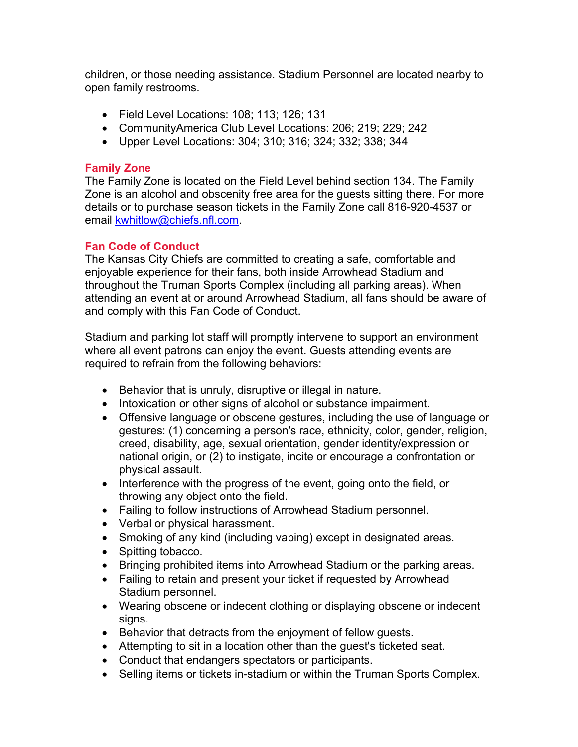children, or those needing assistance. Stadium Personnel are located nearby to open family restrooms.

- Field Level Locations: 108; 113; 126; 131
- CommunityAmerica Club Level Locations: 206; 219; 229; 242
- Upper Level Locations: 304; 310; 316; 324; 332; 338; 344

## **Family Zone**

The Family Zone is located on the Field Level behind section 134. The Family Zone is an alcohol and obscenity free area for the guests sitting there. For more details or to purchase season tickets in the Family Zone call 816-920-4537 or email [kwhitlow@chiefs.nfl.com.](mailto:kwhitlow@chiefs.nfl.com)

## **Fan Code of Conduct**

The Kansas City Chiefs are committed to creating a safe, comfortable and enjoyable experience for their fans, both inside Arrowhead Stadium and throughout the Truman Sports Complex (including all parking areas). When attending an event at or around Arrowhead Stadium, all fans should be aware of and comply with this Fan Code of Conduct.

Stadium and parking lot staff will promptly intervene to support an environment where all event patrons can enjoy the event. Guests attending events are required to refrain from the following behaviors:

- Behavior that is unruly, disruptive or illegal in nature.
- Intoxication or other signs of alcohol or substance impairment.
- Offensive language or obscene gestures, including the use of language or gestures: (1) concerning a person's race, ethnicity, color, gender, religion, creed, disability, age, sexual orientation, gender identity/expression or national origin, or (2) to instigate, incite or encourage a confrontation or physical assault.
- Interference with the progress of the event, going onto the field, or throwing any object onto the field.
- Failing to follow instructions of Arrowhead Stadium personnel.
- Verbal or physical harassment.
- Smoking of any kind (including vaping) except in designated areas.
- Spitting tobacco.
- Bringing prohibited items into Arrowhead Stadium or the parking areas.
- Failing to retain and present your ticket if requested by Arrowhead Stadium personnel.
- Wearing obscene or indecent clothing or displaying obscene or indecent signs.
- Behavior that detracts from the enjoyment of fellow guests.
- Attempting to sit in a location other than the guest's ticketed seat.
- Conduct that endangers spectators or participants.
- Selling items or tickets in-stadium or within the Truman Sports Complex.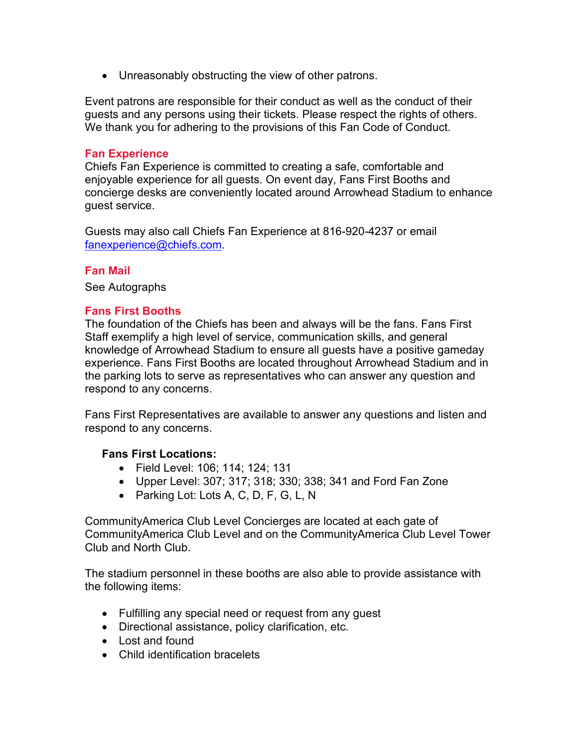• Unreasonably obstructing the view of other patrons.

Event patrons are responsible for their conduct as well as the conduct of their guests and any persons using their tickets. Please respect the rights of others. We thank you for adhering to the provisions of this Fan Code of Conduct.

#### **Fan Experience**

Chiefs Fan Experience is committed to creating a safe, comfortable and enjoyable experience for all guests. On event day, Fans First Booths and concierge desks are conveniently located around Arrowhead Stadium to enhance guest service.

Guests may also call Chiefs Fan Experience at 816-920-4237 or email [fanexperience@chiefs.com.](mailto:fanexperience@chiefs.com)

### **Fan Mail**

See Autographs

### **Fans First Booths**

The foundation of the Chiefs has been and always will be the fans. Fans First Staff exemplify a high level of service, communication skills, and general knowledge of Arrowhead Stadium to ensure all guests have a positive gameday experience. Fans First Booths are located throughout Arrowhead Stadium and in the parking lots to serve as representatives who can answer any question and respond to any concerns.

Fans First Representatives are available to answer any questions and listen and respond to any concerns.

#### **Fans First Locations:**

- Field Level: 106; 114; 124; 131
- Upper Level: 307; 317; 318; 330; 338; 341 and Ford Fan Zone
- Parking Lot: Lots A, C, D, F, G, L, N

CommunityAmerica Club Level Concierges are located at each gate of CommunityAmerica Club Level and on the CommunityAmerica Club Level Tower Club and North Club.

The stadium personnel in these booths are also able to provide assistance with the following items:

- Fulfilling any special need or request from any guest
- Directional assistance, policy clarification, etc.
- Lost and found
- Child identification bracelets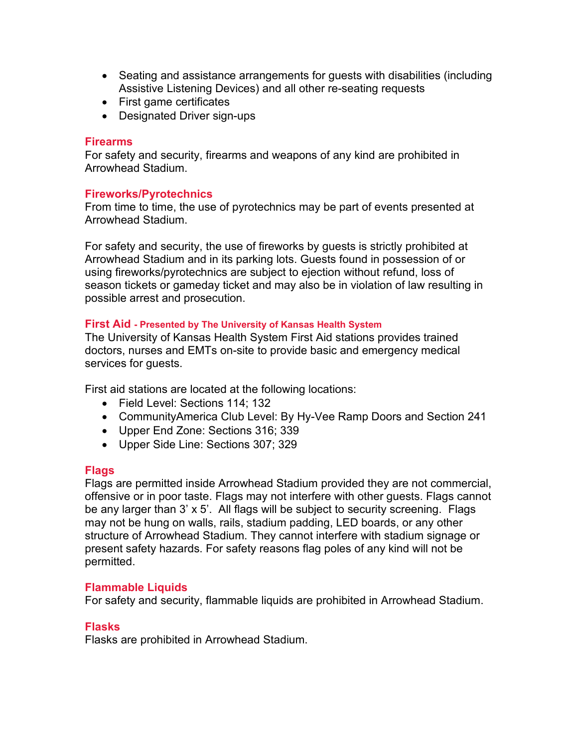- Seating and assistance arrangements for guests with disabilities (including Assistive Listening Devices) and all other re-seating requests
- First game certificates
- Designated Driver sign-ups

#### **Firearms**

For safety and security, firearms and weapons of any kind are prohibited in Arrowhead Stadium.

#### **Fireworks/Pyrotechnics**

From time to time, the use of pyrotechnics may be part of events presented at Arrowhead Stadium.

For safety and security, the use of fireworks by guests is strictly prohibited at Arrowhead Stadium and in its parking lots. Guests found in possession of or using fireworks/pyrotechnics are subject to ejection without refund, loss of season tickets or gameday ticket and may also be in violation of law resulting in possible arrest and prosecution.

#### **First Aid - Presented by The University of Kansas Health System**

The University of Kansas Health System First Aid stations provides trained doctors, nurses and EMTs on-site to provide basic and emergency medical services for guests.

First aid stations are located at the following locations:

- Field Level: Sections 114; 132
- CommunityAmerica Club Level: By Hy-Vee Ramp Doors and Section 241
- Upper End Zone: Sections 316; 339
- Upper Side Line: Sections 307; 329

#### **Flags**

Flags are permitted inside Arrowhead Stadium provided they are not commercial, offensive or in poor taste. Flags may not interfere with other guests. Flags cannot be any larger than 3' x 5'. All flags will be subject to security screening. Flags may not be hung on walls, rails, stadium padding, LED boards, or any other structure of Arrowhead Stadium. They cannot interfere with stadium signage or present safety hazards. For safety reasons flag poles of any kind will not be permitted.

#### **Flammable Liquids**

For safety and security, flammable liquids are prohibited in Arrowhead Stadium.

#### **Flasks**

Flasks are prohibited in Arrowhead Stadium.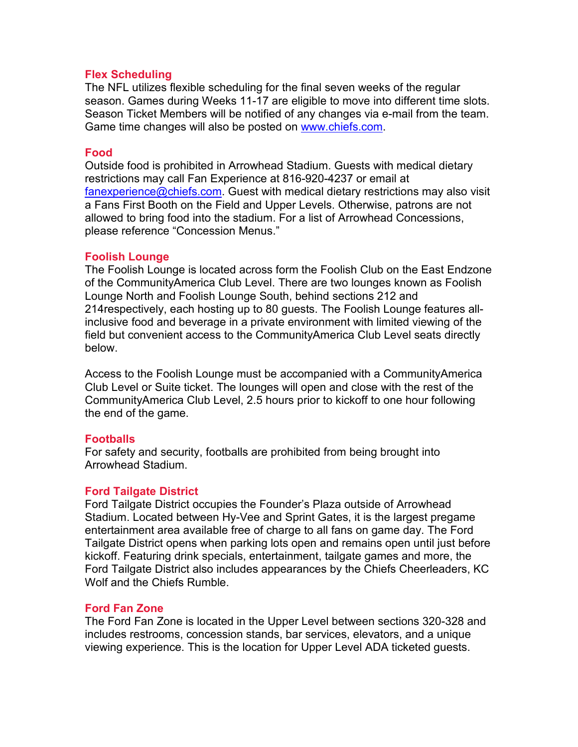#### **Flex Scheduling**

The NFL utilizes flexible scheduling for the final seven weeks of the regular season. Games during Weeks 11-17 are eligible to move into different time slots. Season Ticket Members will be notified of any changes via e-mail from the team. Game time changes will also be posted on [www.chiefs.com.](http://www.chiefs.com/)

#### **Food**

Outside food is prohibited in Arrowhead Stadium. Guests with medical dietary restrictions may call Fan Experience at 816-920-4237 or email at [fanexperience@chiefs.com.](mailto:fanexperience@chiefs.com) Guest with medical dietary restrictions may also visit a Fans First Booth on the Field and Upper Levels. Otherwise, patrons are not allowed to bring food into the stadium. For a list of Arrowhead Concessions, please reference "Concession Menus."

#### **Foolish Lounge**

The Foolish Lounge is located across form the Foolish Club on the East Endzone of the CommunityAmerica Club Level. There are two lounges known as Foolish Lounge North and Foolish Lounge South, behind sections 212 and 214respectively, each hosting up to 80 guests. The Foolish Lounge features allinclusive food and beverage in a private environment with limited viewing of the field but convenient access to the CommunityAmerica Club Level seats directly below.

Access to the Foolish Lounge must be accompanied with a CommunityAmerica Club Level or Suite ticket. The lounges will open and close with the rest of the CommunityAmerica Club Level, 2.5 hours prior to kickoff to one hour following the end of the game.

## **Footballs**

For safety and security, footballs are prohibited from being brought into Arrowhead Stadium.

## **Ford Tailgate District**

Ford Tailgate District occupies the Founder's Plaza outside of Arrowhead Stadium. Located between Hy-Vee and Sprint Gates, it is the largest pregame entertainment area available free of charge to all fans on game day. The Ford Tailgate District opens when parking lots open and remains open until just before kickoff. Featuring drink specials, entertainment, tailgate games and more, the Ford Tailgate District also includes appearances by the Chiefs Cheerleaders, KC Wolf and the Chiefs Rumble.

#### **Ford Fan Zone**

The Ford Fan Zone is located in the Upper Level between sections 320-328 and includes restrooms, concession stands, bar services, elevators, and a unique viewing experience. This is the location for Upper Level ADA ticketed guests.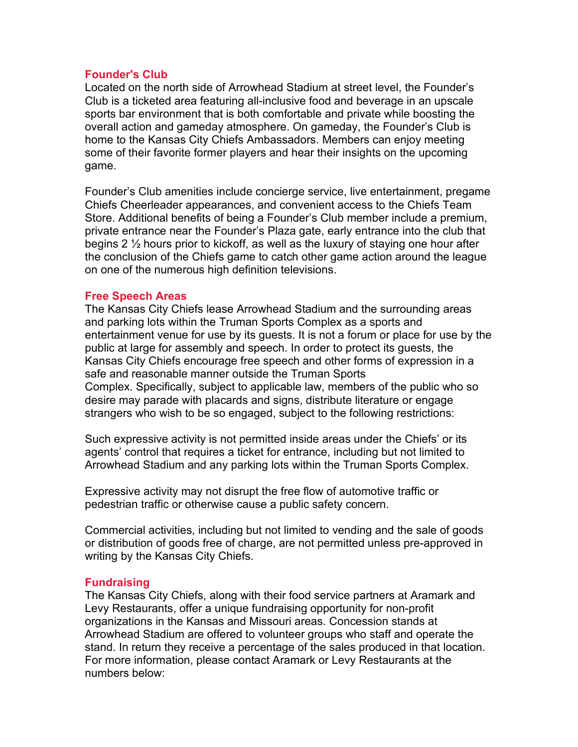#### **Founder's Club**

Located on the north side of Arrowhead Stadium at street level, the Founder's Club is a ticketed area featuring all-inclusive food and beverage in an upscale sports bar environment that is both comfortable and private while boosting the overall action and gameday atmosphere. On gameday, the Founder's Club is home to the Kansas City Chiefs Ambassadors. Members can enjoy meeting some of their favorite former players and hear their insights on the upcoming game.

Founder's Club amenities include concierge service, live entertainment, pregame Chiefs Cheerleader appearances, and convenient access to the Chiefs Team Store. Additional benefits of being a Founder's Club member include a premium, private entrance near the Founder's Plaza gate, early entrance into the club that begins 2 ½ hours prior to kickoff, as well as the luxury of staying one hour after the conclusion of the Chiefs game to catch other game action around the league on one of the numerous high definition televisions.

### **Free Speech Areas**

The Kansas City Chiefs lease Arrowhead Stadium and the surrounding areas and parking lots within the Truman Sports Complex as a sports and entertainment venue for use by its guests. It is not a forum or place for use by the public at large for assembly and speech. In order to protect its guests, the Kansas City Chiefs encourage free speech and other forms of expression in a safe and reasonable manner outside the Truman Sports Complex. Specifically, subject to applicable law, members of the public who so desire may parade with placards and signs, distribute literature or engage strangers who wish to be so engaged, subject to the following restrictions:

Such expressive activity is not permitted inside areas under the Chiefs' or its agents' control that requires a ticket for entrance, including but not limited to Arrowhead Stadium and any parking lots within the Truman Sports Complex.

Expressive activity may not disrupt the free flow of automotive traffic or pedestrian traffic or otherwise cause a public safety concern.

Commercial activities, including but not limited to vending and the sale of goods or distribution of goods free of charge, are not permitted unless pre-approved in writing by the Kansas City Chiefs.

## **Fundraising**

The Kansas City Chiefs, along with their food service partners at Aramark and Levy Restaurants, offer a unique fundraising opportunity for non-profit organizations in the Kansas and Missouri areas. Concession stands at Arrowhead Stadium are offered to volunteer groups who staff and operate the stand. In return they receive a percentage of the sales produced in that location. For more information, please contact Aramark or Levy Restaurants at the numbers below: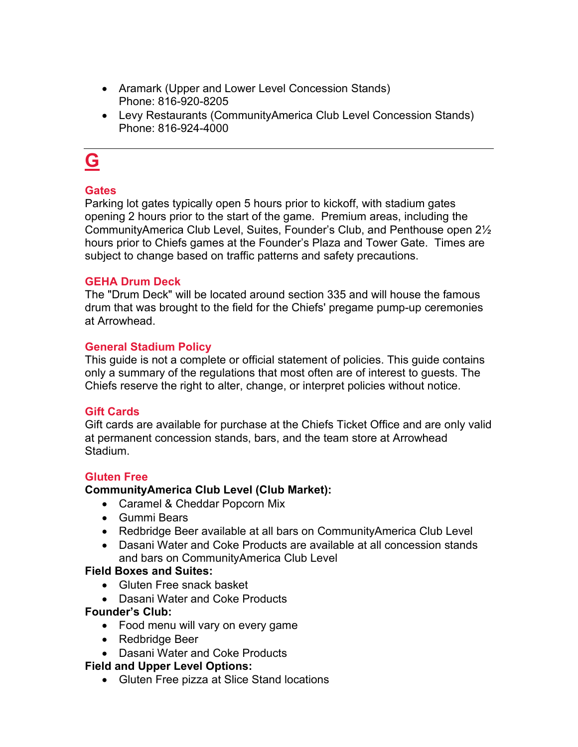- Aramark (Upper and Lower Level Concession Stands) Phone: 816-920-8205
- Levy Restaurants (CommunityAmerica Club Level Concession Stands) Phone: 816-924-4000

## **G**

## **Gates**

Parking lot gates typically open 5 hours prior to kickoff, with stadium gates opening 2 hours prior to the start of the game. Premium areas, including the CommunityAmerica Club Level, Suites, Founder's Club, and Penthouse open 2½ hours prior to Chiefs games at the Founder's Plaza and Tower Gate. Times are subject to change based on traffic patterns and safety precautions.

## **GEHA Drum Deck**

The "Drum Deck" will be located around section 335 and will house the famous drum that was brought to the field for the [Chiefs'](http://www.nfl.com/teams/kansascitychiefs/profile?team=KC) pregame pump-up ceremonies at Arrowhead.

### **General Stadium Policy**

This guide is not a complete or official statement of policies. This guide contains only a summary of the regulations that most often are of interest to guests. The Chiefs reserve the right to alter, change, or interpret policies without notice.

## **Gift Cards**

Gift cards are available for purchase at the Chiefs Ticket Office and are only valid at permanent concession stands, bars, and the team store at Arrowhead Stadium.

## **Gluten Free**

## **CommunityAmerica Club Level (Club Market):**

- Caramel & Cheddar Popcorn Mix
- Gummi Bears
- Redbridge Beer available at all bars on CommunityAmerica Club Level
- Dasani Water and Coke Products are available at all concession stands and bars on CommunityAmerica Club Level

#### **Field Boxes and Suites:**

- Gluten Free snack basket
- Dasani Water and Coke Products

## **Founder's Club:**

- Food menu will vary on every game
- Redbridge Beer
- Dasani Water and Coke Products

## **Field and Upper Level Options:**

• Gluten Free pizza at Slice Stand locations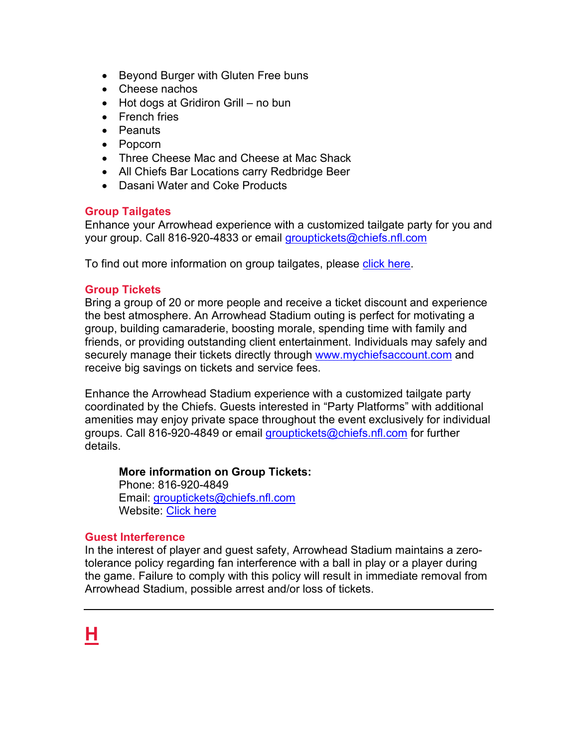- Beyond Burger with Gluten Free buns
- Cheese nachos
- Hot dogs at Gridiron Grill no bun
- French fries
- Peanuts
- Popcorn
- Three Cheese Mac and Cheese at Mac Shack
- All Chiefs Bar Locations carry Redbridge Beer
- Dasani Water and Coke Products

## **Group Tailgates**

Enhance your Arrowhead experience with a customized tailgate party for you and your group. Call 816-920-4833 or email [grouptickets@chiefs.nfl.com](mailto:grouptickets@chiefs.nfl.com)

To find out more information on group tailgates, please [click here.](https://www.chiefs.com/tickets/tailgates)

## **Group Tickets**

Bring a group of 20 or more people and receive a ticket discount and experience the best atmosphere. An Arrowhead Stadium outing is perfect for motivating a group, building camaraderie, boosting morale, spending time with family and friends, or providing outstanding client entertainment. Individuals may safely and securely manage their tickets directly through [www.mychiefsaccount.com](http://www.mychiefsaccount.com/) and receive big savings on tickets and service fees.

Enhance the Arrowhead Stadium experience with a customized tailgate party coordinated by the Chiefs. Guests interested in "Party Platforms" with additional amenities may enjoy private space throughout the event exclusively for individual groups. Call 816-920-4849 or email [grouptickets@chiefs.nfl.com](mailto:grouptickets@chiefs.nfl.com) for further details.

## **More information on Group Tickets:**

Phone: 816-920-4849 Email: [grouptickets@chiefs.nfl.com](mailto:grouptickets@chiefs.nfl.com) Website: [Click here](https://www.chiefs.com/tickets/groups)

## **Guest Interference**

In the interest of player and guest safety, Arrowhead Stadium maintains a zerotolerance policy regarding fan interference with a ball in play or a player during the game. Failure to comply with this policy will result in immediate removal from Arrowhead Stadium, possible arrest and/or loss of tickets.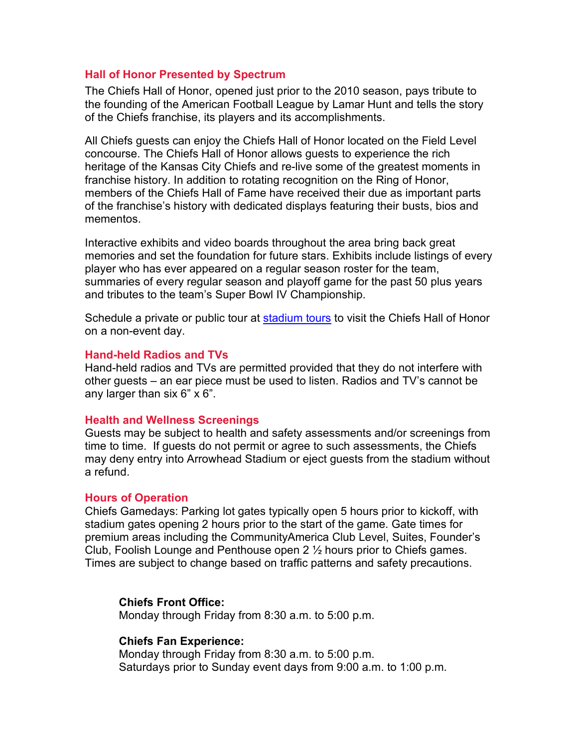#### **Hall of Honor Presented by Spectrum**

The Chiefs Hall of Honor, opened just prior to the 2010 season, pays tribute to the founding of the American Football League by Lamar Hunt and tells the story of the Chiefs franchise, its players and its accomplishments.

All Chiefs guests can enjoy the Chiefs Hall of Honor located on the Field Level concourse. The Chiefs Hall of Honor allows guests to experience the rich heritage of the Kansas City Chiefs and re-live some of the greatest moments in franchise history. In addition to rotating recognition on the Ring of Honor, members of the Chiefs Hall of Fame have received their due as important parts of the franchise's history with dedicated displays featuring their busts, bios and mementos.

Interactive exhibits and video boards throughout the area bring back great memories and set the foundation for future stars. Exhibits include listings of every player who has ever appeared on a regular season roster for the team, summaries of every regular season and playoff game for the past 50 plus years and tributes to the team's Super Bowl IV Championship.

Schedule a private or public tour at [stadium tours](https://www.chiefs.com/stadium/tours) to visit the Chiefs Hall of Honor on a non-event day.

#### **Hand-held Radios and TVs**

Hand-held radios and TVs are permitted provided that they do not interfere with other guests – an ear piece must be used to listen. Radios and TV's cannot be any larger than six 6" x 6".

#### **Health and Wellness Screenings**

Guests may be subject to health and safety assessments and/or screenings from time to time. If guests do not permit or agree to such assessments, the Chiefs may deny entry into Arrowhead Stadium or eject guests from the stadium without a refund.

#### **Hours of Operation**

Chiefs Gamedays: Parking lot gates typically open 5 hours prior to kickoff, with stadium gates opening 2 hours prior to the start of the game. Gate times for premium areas including the CommunityAmerica Club Level, Suites, Founder's Club, Foolish Lounge and Penthouse open 2 ½ hours prior to Chiefs games. Times are subject to change based on traffic patterns and safety precautions.

## **Chiefs Front Office:**

Monday through Friday from 8:30 a.m. to 5:00 p.m.

#### **Chiefs Fan Experience:**

Monday through Friday from 8:30 a.m. to 5:00 p.m. Saturdays prior to Sunday event days from 9:00 a.m. to 1:00 p.m.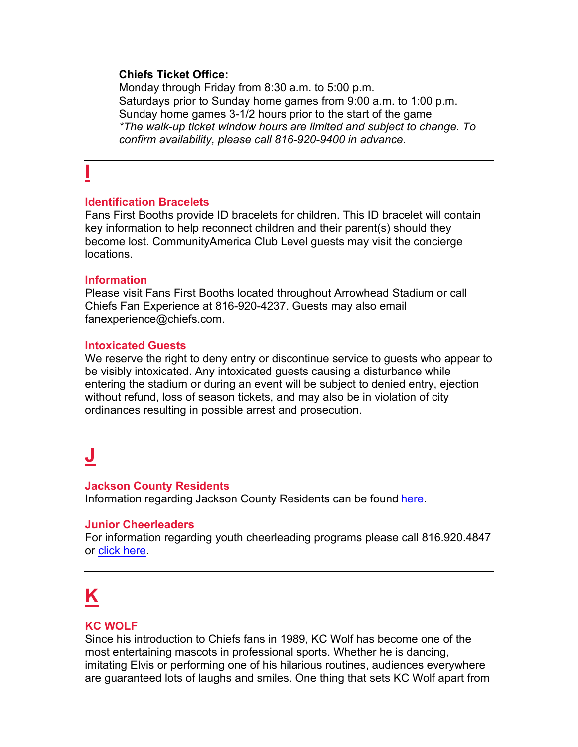### **Chiefs Ticket Office:**

Monday through Friday from 8:30 a.m. to 5:00 p.m. Saturdays prior to Sunday home games from 9:00 a.m. to 1:00 p.m. Sunday home games 3-1/2 hours prior to the start of the game *\*The walk-up ticket window hours are limited and subject to change. To confirm availability, please call 816-920-9400 in advance.*

# **I**

### **Identification Bracelets**

Fans First Booths provide ID bracelets for children. This ID bracelet will contain key information to help reconnect children and their parent(s) should they become lost. CommunityAmerica Club Level guests may visit the concierge locations.

#### **Information**

Please visit Fans First Booths located throughout Arrowhead Stadium or call Chiefs Fan Experience at 816-920-4237. Guests may also email fanexperience@chiefs.com.

### **Intoxicated Guests**

We reserve the right to deny entry or discontinue service to guests who appear to be visibly intoxicated. Any intoxicated guests causing a disturbance while entering the stadium or during an event will be subject to denied entry, ejection without refund, loss of season tickets, and may also be in violation of city ordinances resulting in possible arrest and prosecution.

## **J**

#### **Jackson County Residents**

Information regarding Jackson County Residents can be found [here.](https://www.chiefs.com/stadium/jacksoncounty)

## **Junior Cheerleaders**

For information regarding youth cheerleading programs please call 816.920.4847 or [click here.](https://www.chiefs.com/cheerleaders/cheerprograms/)

# **K**

## **KC WOLF**

Since his introduction to Chiefs fans in 1989, KC Wolf has become one of the most entertaining mascots in professional sports. Whether he is dancing, imitating Elvis or performing one of his hilarious routines, audiences everywhere are guaranteed lots of laughs and smiles. One thing that sets KC Wolf apart from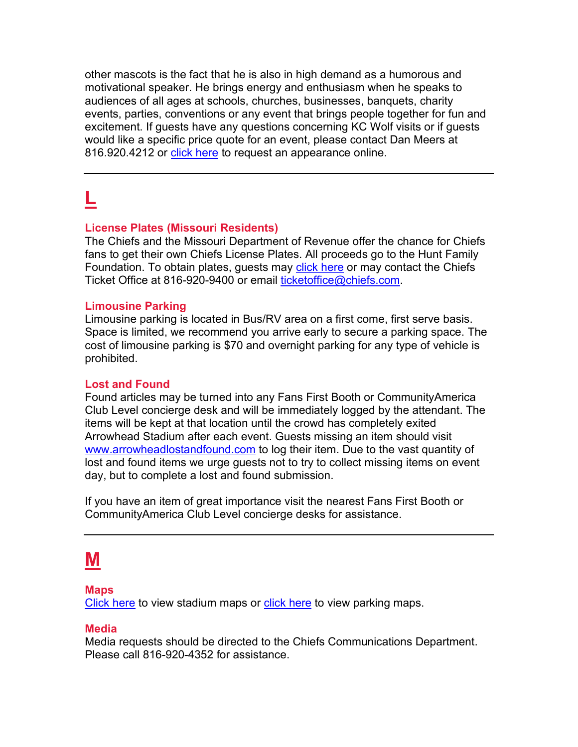other mascots is the fact that he is also in high demand as a humorous and motivational speaker. He brings energy and enthusiasm when he speaks to audiences of all ages at schools, churches, businesses, banquets, charity events, parties, conventions or any event that brings people together for fun and excitement. If guests have any questions concerning KC Wolf visits or if guests would like a specific price quote for an event, please contact Dan Meers at 816.920.4212 or [click here](https://www.chiefs.com/cheerleaders/kcwolf) to request an appearance online.

## **L**

#### **License Plates (Missouri Residents)**

The Chiefs and the Missouri Department of Revenue offer the chance for Chiefs fans to get their own Chiefs License Plates. All proceeds go to the Hunt Family Foundation. To obtain plates, guests may [click here](https://www.chiefs.com/fans/licenseplate) or may contact the Chiefs Ticket Office at 816-920-9400 or email [ticketoffice@chiefs.com.](mailto:ticketoffice@chiefs.com)

#### **Limousine Parking**

Limousine parking is located in Bus/RV area on a first come, first serve basis. Space is limited, we recommend you arrive early to secure a parking space. The cost of limousine parking is \$70 and overnight parking for any type of vehicle is prohibited.

#### **Lost and Found**

Found articles may be turned into any Fans First Booth or CommunityAmerica Club Level concierge desk and will be immediately logged by the attendant. The items will be kept at that location until the crowd has completely exited Arrowhead Stadium after each event. Guests missing an item should visit [www.arrowheadlostandfound.com](http://www.arrowheadlostandfound.com/) to log their item. Due to the vast quantity of lost and found items we urge guests not to try to collect missing items on event day, but to complete a lost and found submission.

If you have an item of great importance visit the nearest Fans First Booth or CommunityAmerica Club Level concierge desks for assistance.

## **M**

#### **Maps**

[Click here](https://www.chiefs.com/stadium/maps/fieldlevel) to view stadium maps or [click here](https://www.chiefs.com/stadium/parking/directionsandmaps) to view parking maps.

#### **Media**

Media requests should be directed to the Chiefs Communications Department. Please call 816-920-4352 for assistance.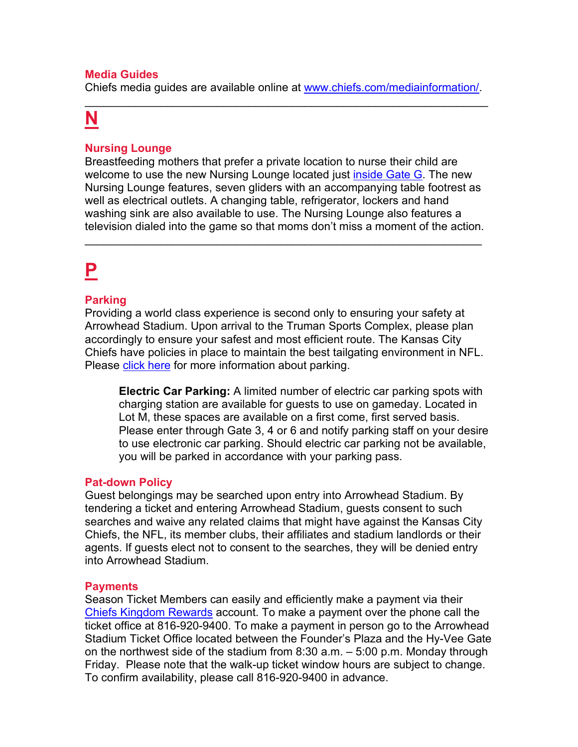## **Media Guides**

Chiefs media guides are available online at [www.chiefs.com/mediainformation/.](http://www.chiefs.com/mediainformation/) \_\_\_\_\_\_\_\_\_\_\_\_\_\_\_\_\_\_\_\_\_\_\_\_\_\_\_\_\_\_\_\_\_\_\_\_\_\_\_\_\_\_\_\_\_\_\_\_\_\_\_\_\_\_\_\_\_\_\_\_\_\_\_\_

## **N**

## **Nursing Lounge**

Breastfeeding mothers that prefer a private location to nurse their child are welcome to use the new Nursing Lounge located just *inside Gate G*. The new Nursing Lounge features, seven gliders with an accompanying table footrest as well as electrical outlets. A changing table, refrigerator, lockers and hand washing sink are also available to use. The Nursing Lounge also features a television dialed into the game so that moms don't miss a moment of the action.

\_\_\_\_\_\_\_\_\_\_\_\_\_\_\_\_\_\_\_\_\_\_\_\_\_\_\_\_\_\_\_\_\_\_\_\_\_\_\_\_\_\_\_\_\_\_\_\_\_\_\_\_\_\_\_\_\_\_\_\_\_\_\_

# **P**

#### **Parking**

Providing a world class experience is second only to ensuring your safety at Arrowhead Stadium. Upon arrival to the Truman Sports Complex, please plan accordingly to ensure your safest and most efficient route. The Kansas City Chiefs have policies in place to maintain the best tailgating environment in NFL. Please [click here](https://www.chiefs.com/stadium/parking/) for more information about parking.

**Electric Car Parking:** A limited number of electric car parking spots with charging station are available for guests to use on gameday. Located in Lot M, these spaces are available on a first come, first served basis. Please enter through Gate 3, 4 or 6 and notify parking staff on your desire to use electronic car parking. Should electric car parking not be available, you will be parked in accordance with your parking pass.

#### **Pat-down Policy**

Guest belongings may be searched upon entry into Arrowhead Stadium. By tendering a ticket and entering Arrowhead Stadium, guests consent to such searches and waive any related claims that might have against the Kansas City Chiefs, the NFL, its member clubs, their affiliates and stadium landlords or their agents. If guests elect not to consent to the searches, they will be denied entry into Arrowhead Stadium.

#### **Payments**

Season Ticket Members can easily and efficiently make a payment via their [Chiefs Kingdom Rewards](http://www.chiefskingdomrewards.com/) account. To make a payment over the phone call the ticket office at 816-920-9400. To make a payment in person go to the Arrowhead Stadium Ticket Office located between the Founder's Plaza and the Hy-Vee Gate on the northwest side of the stadium from 8:30 a.m. – 5:00 p.m. Monday through Friday. Please note that the walk-up ticket window hours are subject to change. To confirm availability, please call 816-920-9400 in advance.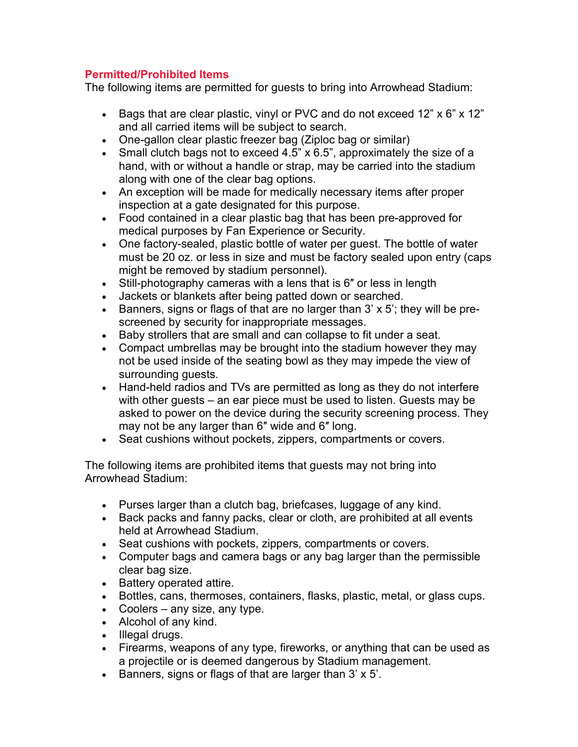## **Permitted/Prohibited Items**

The following items are permitted for guests to bring into Arrowhead Stadium:

- Bags that are clear plastic, vinyl or PVC and do not exceed 12" x 6" x 12" and all carried items will be subject to search.
- One-gallon clear plastic freezer bag (Ziploc bag or similar)
- Small clutch bags not to exceed 4.5" x 6.5", approximately the size of a hand, with or without a handle or strap, may be carried into the stadium along with one of the clear bag options.
- An exception will be made for medically necessary items after proper inspection at a gate designated for this purpose.
- Food contained in a clear plastic bag that has been pre-approved for medical purposes by Fan Experience or Security.
- One factory-sealed, plastic bottle of water per guest. The bottle of water must be 20 oz. or less in size and must be factory sealed upon entry (caps might be removed by stadium personnel).
- Still-photography cameras with a lens that is 6" or less in length
- Jackets or blankets after being patted down or searched.
- Banners, signs or flags of that are no larger than 3' x 5'; they will be prescreened by security for inappropriate messages.
- Baby strollers that are small and can collapse to fit under a seat.
- Compact umbrellas may be brought into the stadium however they may not be used inside of the seating bowl as they may impede the view of surrounding guests.
- Hand-held radios and TVs are permitted as long as they do not interfere with other guests – an ear piece must be used to listen. Guests may be asked to power on the device during the security screening process. They may not be any larger than 6″ wide and 6″ long.
- Seat cushions without pockets, zippers, compartments or covers.

The following items are prohibited items that guests may not bring into Arrowhead Stadium:

- Purses larger than a clutch bag, briefcases, luggage of any kind.
- Back packs and fanny packs, clear or cloth, are prohibited at all events held at Arrowhead Stadium.
- Seat cushions with pockets, zippers, compartments or covers.
- Computer bags and camera bags or any bag larger than the permissible clear bag size.
- Battery operated attire.
- Bottles, cans, thermoses, containers, flasks, plastic, metal, or glass cups.
- Coolers any size, any type.
- Alcohol of any kind.
- Illegal drugs.
- Firearms, weapons of any type, fireworks, or anything that can be used as a projectile or is deemed dangerous by Stadium management.
- Banners, signs or flags of that are larger than 3' x 5'.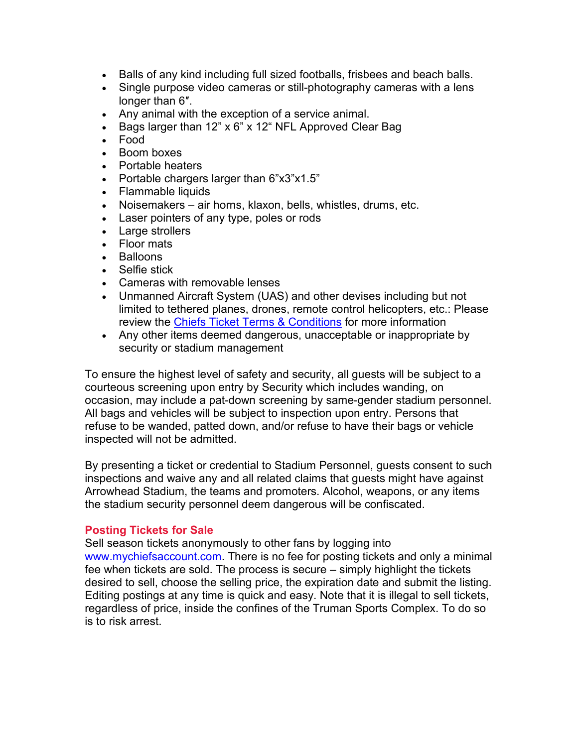- Balls of any kind including full sized footballs, frisbees and beach balls.
- Single purpose video cameras or still-photography cameras with a lens longer than 6″.
- Any animal with the exception of a service animal.
- Bags larger than 12" x 6" x 12" NFL Approved Clear Bag
- Food
- Boom boxes
- Portable heaters
- Portable chargers larger than 6"x3"x1.5"
- Flammable liquids
- Noisemakers air horns, klaxon, bells, whistles, drums, etc.
- Laser pointers of any type, poles or rods
- Large strollers
- Floor mats
- Balloons
- Selfie stick
- Cameras with removable lenses
- Unmanned Aircraft System (UAS) and other devises including but not limited to tethered planes, drones, remote control helicopters, etc.: Please review the [Chiefs Ticket Terms & Conditions](https://www.chiefs.com/tickets/terms/) for more information
- Any other items deemed dangerous, unacceptable or inappropriate by security or stadium management

To ensure the highest level of safety and security, all guests will be subject to a courteous screening upon entry by Security which includes wanding, on occasion, may include a pat-down screening by same-gender stadium personnel. All bags and vehicles will be subject to inspection upon entry. Persons that refuse to be wanded, patted down, and/or refuse to have their bags or vehicle inspected will not be admitted.

By presenting a ticket or credential to Stadium Personnel, guests consent to such inspections and waive any and all related claims that guests might have against Arrowhead Stadium, the teams and promoters. Alcohol, weapons, or any items the stadium security personnel deem dangerous will be confiscated.

## **Posting Tickets for Sale**

Sell season tickets anonymously to other fans by logging into www.mychiefsaccount.com. There is no fee for posting tickets and only a minimal fee when tickets are sold. The process is secure – simply highlight the tickets desired to sell, choose the selling price, the expiration date and submit the listing. Editing postings at any time is quick and easy. Note that it is illegal to sell tickets, regardless of price, inside the confines of the Truman Sports Complex. To do so is to risk arrest.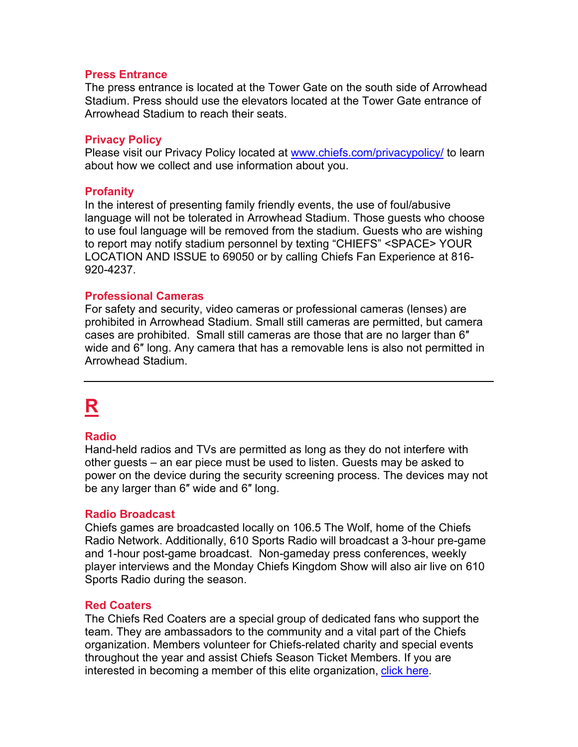#### **Press Entrance**

The press entrance is located at the Tower Gate on the south side of Arrowhead Stadium. Press should use the elevators located at the Tower Gate entrance of Arrowhead Stadium to reach their seats.

#### **Privacy Policy**

Please visit our Privacy Policy located at [www.chiefs.com/privacypolicy/](https://www.chiefs.com/privacypolicy/) to learn about how we collect and use information about you.

#### **Profanity**

In the interest of presenting family friendly events, the use of foul/abusive language will not be tolerated in Arrowhead Stadium. Those guests who choose to use foul language will be removed from the stadium. Guests who are wishing to report may notify stadium personnel by texting "CHIEFS" <SPACE> YOUR LOCATION AND ISSUE to 69050 or by calling Chiefs Fan Experience at 816- 920-4237.

#### **Professional Cameras**

For safety and security, video cameras or professional cameras (lenses) are prohibited in Arrowhead Stadium. Small still cameras are permitted, but camera cases are prohibited. Small still cameras are those that are no larger than 6″ wide and 6″ long. Any camera that has a removable lens is also not permitted in Arrowhead Stadium.

# **R**

#### **Radio**

Hand-held radios and TVs are permitted as long as they do not interfere with other guests – an ear piece must be used to listen. Guests may be asked to power on the device during the security screening process. The devices may not be any larger than 6″ wide and 6″ long.

#### **Radio Broadcast**

Chiefs games are broadcasted locally on 106.5 The Wolf, home of the Chiefs Radio Network. Additionally, 610 Sports Radio will broadcast a 3-hour pre-game and 1-hour post-game broadcast. Non-gameday press conferences, weekly player interviews and the Monday Chiefs Kingdom Show will also air live on 610 Sports Radio during the season.

#### **Red Coaters**

The Chiefs Red Coaters are a special group of dedicated fans who support the team. They are ambassadors to the community and a vital part of the Chiefs organization. Members volunteer for Chiefs-related charity and special events throughout the year and assist Chiefs Season Ticket Members. If you are interested in becoming a member of this elite organization, [click here.](https://www.chiefs.com/community/redcoaters)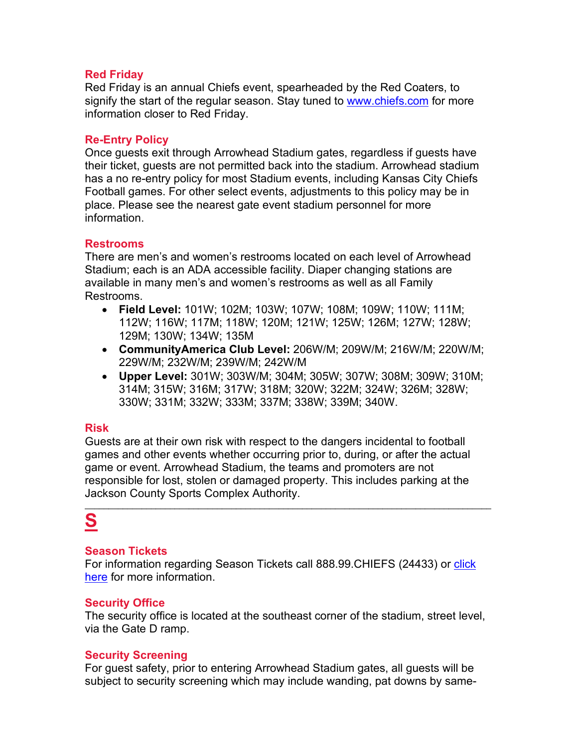## **Red Friday**

Red Friday is an annual Chiefs event, spearheaded by the Red Coaters, to signify the start of the regular season. Stay tuned to [www.chiefs.com](http://www.chiefs.com/) for more information closer to Red Friday.

## **Re-Entry Policy**

Once guests exit through Arrowhead Stadium gates, regardless if guests have their ticket, guests are not permitted back into the stadium. Arrowhead stadium has a no re-entry policy for most Stadium events, including Kansas City Chiefs Football games. For other select events, adjustments to this policy may be in place. Please see the nearest gate event stadium personnel for more information.

## **Restrooms**

There are men's and women's restrooms located on each level of Arrowhead Stadium; each is an ADA accessible facility. Diaper changing stations are available in many men's and women's restrooms as well as all Family Restrooms.

- **Field Level:** 101W; 102M; 103W; 107W; 108M; 109W; 110W; 111M; 112W; 116W; 117M; 118W; 120M; 121W; 125W; 126M; 127W; 128W; 129M; 130W; 134W; 135M
- **CommunityAmerica Club Level:** 206W/M; 209W/M; 216W/M; 220W/M; 229W/M; 232W/M; 239W/M; 242W/M
- **Upper Level:** 301W; 303W/M; 304M; 305W; 307W; 308M; 309W; 310M; 314M; 315W; 316M; 317W; 318M; 320W; 322M; 324W; 326M; 328W; 330W; 331M; 332W; 333M; 337M; 338W; 339M; 340W.

## **Risk**

Guests are at their own risk with respect to the dangers incidental to football games and other events whether occurring prior to, during, or after the actual game or event. Arrowhead Stadium, the teams and promoters are not responsible for lost, stolen or damaged property. This includes parking at the Jackson County Sports Complex Authority.

 $\mathcal{L}_\mathcal{L} = \{ \mathcal{L}_\mathcal{L} = \{ \mathcal{L}_\mathcal{L} = \{ \mathcal{L}_\mathcal{L} = \{ \mathcal{L}_\mathcal{L} = \{ \mathcal{L}_\mathcal{L} = \{ \mathcal{L}_\mathcal{L} = \{ \mathcal{L}_\mathcal{L} = \{ \mathcal{L}_\mathcal{L} = \{ \mathcal{L}_\mathcal{L} = \{ \mathcal{L}_\mathcal{L} = \{ \mathcal{L}_\mathcal{L} = \{ \mathcal{L}_\mathcal{L} = \{ \mathcal{L}_\mathcal{L} = \{ \mathcal{L}_\mathcal{$ 

## **S**

## **Season Tickets**

For information regarding Season Tickets call 888.99 CHIEFS (24433) or click [here](https://www.chiefs.com/tickets/seasontickets/) for more information.

## **Security Office**

The security office is located at the southeast corner of the stadium, street level, via the Gate D ramp.

## **Security Screening**

For guest safety, prior to entering Arrowhead Stadium gates, all guests will be subject to security screening which may include wanding, pat downs by same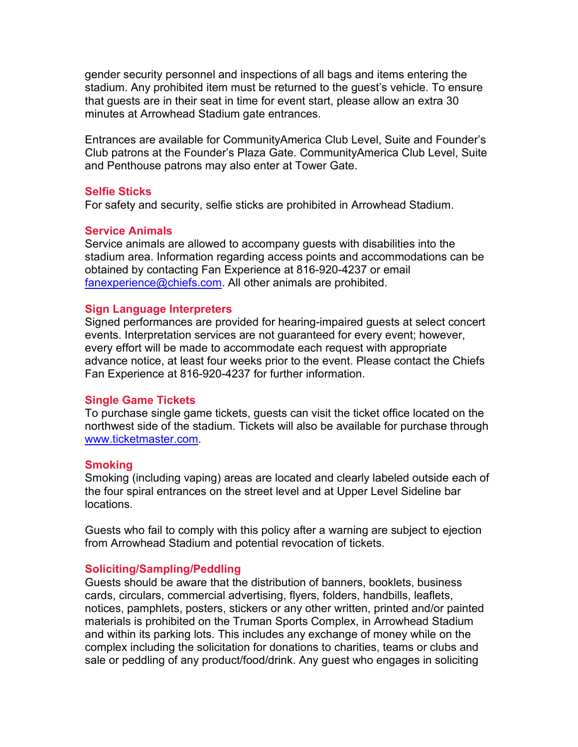gender security personnel and inspections of all bags and items entering the stadium. Any prohibited item must be returned to the guest's vehicle. To ensure that guests are in their seat in time for event start, please allow an extra 30 minutes at Arrowhead Stadium gate entrances.

Entrances are available for CommunityAmerica Club Level, Suite and Founder's Club patrons at the Founder's Plaza Gate. CommunityAmerica Club Level, Suite and Penthouse patrons may also enter at Tower Gate.

#### **Selfie Sticks**

For safety and security, selfie sticks are prohibited in Arrowhead Stadium.

#### **Service Animals**

Service animals are allowed to accompany guests with disabilities into the stadium area. Information regarding access points and accommodations can be obtained by contacting Fan Experience at 816-920-4237 or email [fanexperience@chiefs.com.](mailto:fanexperience@chiefs.com) All other animals are prohibited.

#### **Sign Language Interpreters**

Signed performances are provided for hearing-impaired guests at select concert events. Interpretation services are not guaranteed for every event; however, every effort will be made to accommodate each request with appropriate advance notice, at least four weeks prior to the event. Please contact the Chiefs Fan Experience at 816-920-4237 for further information.

#### **Single Game Tickets**

To purchase single game tickets, guests can visit the ticket office located on the northwest side of the stadium. Tickets will also be available for purchase through [www.ticketmaster.com.](http://www.ticketmaster.com/)

#### **Smoking**

Smoking (including vaping) areas are located and clearly labeled outside each of the four spiral entrances on the street level and at Upper Level Sideline bar locations.

Guests who fail to comply with this policy after a warning are subject to ejection from Arrowhead Stadium and potential revocation of tickets.

#### **Soliciting/Sampling/Peddling**

Guests should be aware that the distribution of banners, booklets, business cards, circulars, commercial advertising, flyers, folders, handbills, leaflets, notices, pamphlets, posters, stickers or any other written, printed and/or painted materials is prohibited on the Truman Sports Complex, in Arrowhead Stadium and within its parking lots. This includes any exchange of money while on the complex including the solicitation for donations to charities, teams or clubs and sale or peddling of any product/food/drink. Any guest who engages in soliciting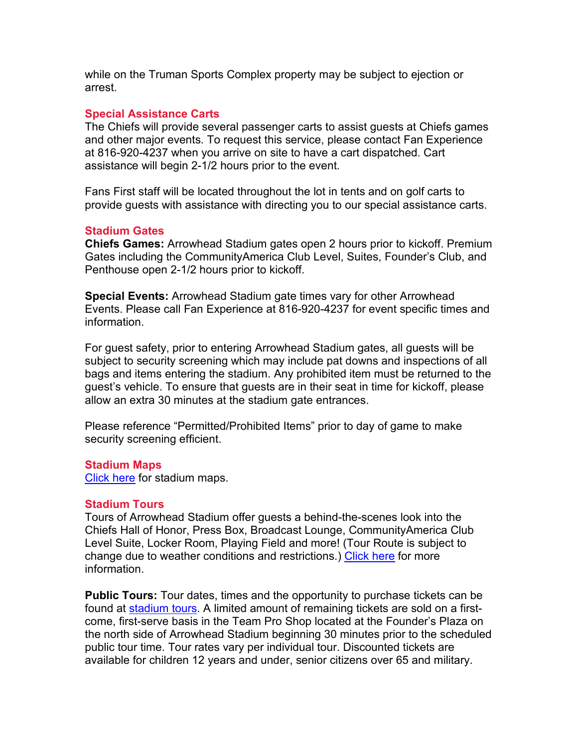while on the Truman Sports Complex property may be subject to ejection or arrest.

### **Special Assistance Carts**

The Chiefs will provide several passenger carts to assist guests at Chiefs games and other major events. To request this service, please contact Fan Experience at 816-920-4237 when you arrive on site to have a cart dispatched. Cart assistance will begin 2-1/2 hours prior to the event.

Fans First staff will be located throughout the lot in tents and on golf carts to provide guests with assistance with directing you to our special assistance carts.

### **Stadium Gates**

**Chiefs Games:** Arrowhead Stadium gates open 2 hours prior to kickoff. Premium Gates including the CommunityAmerica Club Level, Suites, Founder's Club, and Penthouse open 2-1/2 hours prior to kickoff.

**Special Events:** Arrowhead Stadium gate times vary for other Arrowhead Events. Please call Fan Experience at 816-920-4237 for event specific times and information.

For guest safety, prior to entering Arrowhead Stadium gates, all guests will be subject to security screening which may include pat downs and inspections of all bags and items entering the stadium. Any prohibited item must be returned to the guest's vehicle. To ensure that guests are in their seat in time for kickoff, please allow an extra 30 minutes at the stadium gate entrances.

Please reference "Permitted/Prohibited Items" prior to day of game to make security screening efficient.

#### **Stadium Maps**

[Click here](https://www.chiefs.com/stadium/maps/fieldlevel) for stadium maps.

#### **Stadium Tours**

Tours of Arrowhead Stadium offer guests a behind-the-scenes look into the Chiefs Hall of Honor, Press Box, Broadcast Lounge, CommunityAmerica Club Level Suite, Locker Room, Playing Field and more! (Tour Route is subject to change due to weather conditions and restrictions.) [Click here](https://www.chiefs.com/stadium/tours) for more information.

**Public Tours:** Tour dates, times and the opportunity to purchase tickets can be found at [stadium tours.](https://www.chiefs.com/stadium/tours) A limited amount of remaining tickets are sold on a firstcome, first-serve basis in the Team Pro Shop located at the Founder's Plaza on the north side of Arrowhead Stadium beginning 30 minutes prior to the scheduled public tour time. Tour rates vary per individual tour. Discounted tickets are available for children 12 years and under, senior citizens over 65 and military.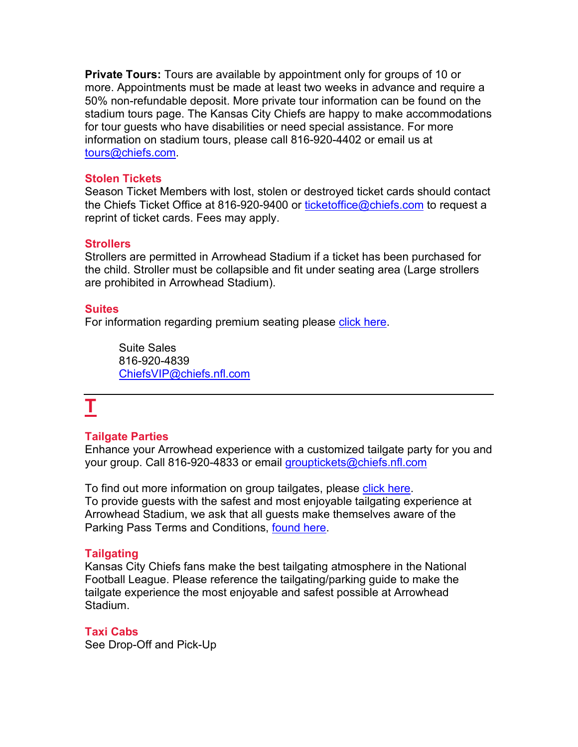**Private Tours:** Tours are available by appointment only for groups of 10 or more. Appointments must be made at least two weeks in advance and require a 50% non-refundable deposit. More private tour information can be found on the stadium tours page. The Kansas City Chiefs are happy to make accommodations for tour guests who have disabilities or need special assistance. For more information on stadium tours, please call 816-920-4402 or email us at [tours@chiefs.com.](mailto:tours@chiefs.com)

### **Stolen Tickets**

Season Ticket Members with lost, stolen or destroyed ticket cards should contact the Chiefs Ticket Office at 816-920-9400 or [ticketoffice@chiefs.com](mailto:ticketoffice@chiefs.com) to request a reprint of ticket cards. Fees may apply.

### **Strollers**

Strollers are permitted in Arrowhead Stadium if a ticket has been purchased for the child. Stroller must be collapsible and fit under seating area (Large strollers are prohibited in Arrowhead Stadium).

#### **Suites**

For information regarding premium seating please [click here.](https://www.chiefs.com/tickets/suites)

Suite Sales 816-920-4839 [ChiefsVIP@chiefs.nfl.com](mailto:ChiefsVIP@chiefs.nfl.com)

# **T**

## **Tailgate Parties**

Enhance your Arrowhead experience with a customized tailgate party for you and your group. Call 816-920-4833 or email [grouptickets@chiefs.nfl.com](mailto:grouptickets@chiefs.nfl.com)

To find out more information on group tailgates, please [click here.](https://www.chiefs.com/tickets/tailgates) To provide guests with the safest and most enjoyable tailgating experience at Arrowhead Stadium, we ask that all guests make themselves aware of the Parking Pass Terms and Conditions, [found here.](https://www.chiefs.com/stadium/parkingterms)

## **Tailgating**

Kansas City Chiefs fans make the best tailgating atmosphere in the National Football League. Please reference the tailgating/parking guide to make the tailgate experience the most enjoyable and safest possible at Arrowhead Stadium.

## **Taxi Cabs**

See Drop-Off and Pick-Up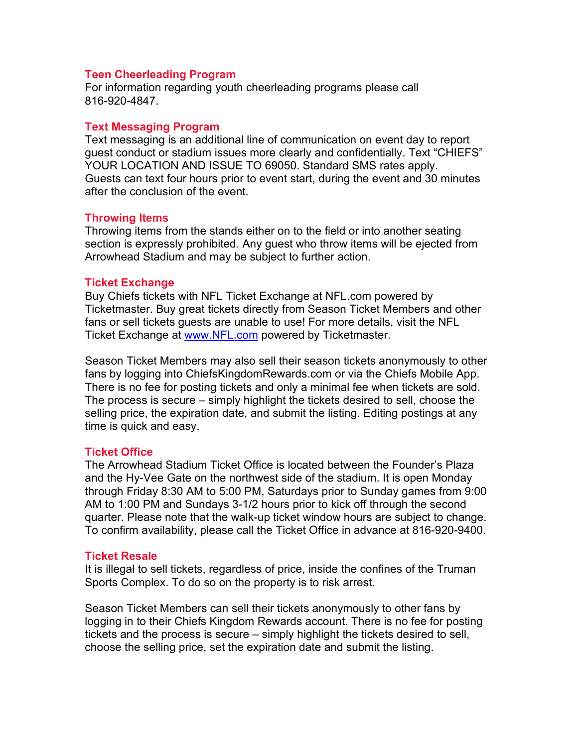#### **Teen Cheerleading Program**

For information regarding youth cheerleading programs please call 816-920-4847.

#### **Text Messaging Program**

Text messaging is an additional line of communication on event day to report guest conduct or stadium issues more clearly and confidentially. Text "CHIEFS" YOUR LOCATION AND ISSUE TO 69050. Standard SMS rates apply. Guests can text four hours prior to event start, during the event and 30 minutes after the conclusion of the event.

#### **Throwing Items**

Throwing items from the stands either on to the field or into another seating section is expressly prohibited. Any guest who throw items will be ejected from Arrowhead Stadium and may be subject to further action.

#### **Ticket Exchange**

Buy Chiefs tickets with NFL Ticket Exchange at NFL.com powered by Ticketmaster. Buy great tickets directly from Season Ticket Members and other fans or sell tickets guests are unable to use! For more details, visit the NFL Ticket Exchange at [www.NFL.com](http://www.nfl.com/) powered by Ticketmaster.

Season Ticket Members may also sell their season tickets anonymously to other fans by logging into ChiefsKingdomRewards.com or via the Chiefs Mobile App. There is no fee for posting tickets and only a minimal fee when tickets are sold. The process is secure – simply highlight the tickets desired to sell, choose the selling price, the expiration date, and submit the listing. Editing postings at any time is quick and easy.

#### **Ticket Office**

The Arrowhead Stadium Ticket Office is located between the Founder's Plaza and the Hy-Vee Gate on the northwest side of the stadium. It is open Monday through Friday 8:30 AM to 5:00 PM, Saturdays prior to Sunday games from 9:00 AM to 1:00 PM and Sundays 3-1/2 hours prior to kick off through the second quarter. Please note that the walk-up ticket window hours are subject to change. To confirm availability, please call the Ticket Office in advance at 816-920-9400.

#### **Ticket Resale**

It is illegal to sell tickets, regardless of price, inside the confines of the Truman Sports Complex. To do so on the property is to risk arrest.

Season Ticket Members can sell their tickets anonymously to other fans by logging in to their Chiefs Kingdom Rewards account. There is no fee for posting tickets and the process is secure – simply highlight the tickets desired to sell, choose the selling price, set the expiration date and submit the listing.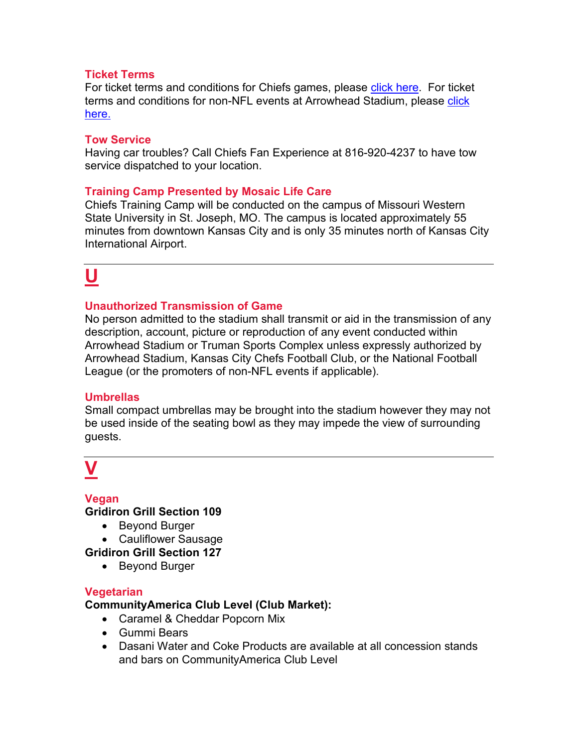## **Ticket Terms**

For ticket terms and conditions for Chiefs games, please [click here.](https://www.chiefs.com/tickets/terms/) For ticket terms and conditions for non-NFL events at Arrowhead Stadium, please click [here.](https://www.chiefs.com/tickets/arrowheadeventsticketterms)

### **Tow Service**

Having car troubles? Call Chiefs Fan Experience at 816-920-4237 to have tow service dispatched to your location.

## **Training Camp Presented by Mosaic Life Care**

Chiefs Training Camp will be conducted on the campus of Missouri Western State University in St. Joseph, MO. The campus is located approximately 55 minutes from downtown Kansas City and is only 35 minutes north of Kansas City International Airport.

## **U**

## **Unauthorized Transmission of Game**

No person admitted to the stadium shall transmit or aid in the transmission of any description, account, picture or reproduction of any event conducted within Arrowhead Stadium or Truman Sports Complex unless expressly authorized by Arrowhead Stadium, Kansas City Chefs Football Club, or the National Football League (or the promoters of non-NFL events if applicable).

## **Umbrellas**

Small compact umbrellas may be brought into the stadium however they may not be used inside of the seating bowl as they may impede the view of surrounding guests.

# **V**

## **Vegan**

**Gridiron Grill Section 109**

- Beyond Burger
- Cauliflower Sausage

**Gridiron Grill Section 127**

• Beyond Burger

## **Vegetarian**

**CommunityAmerica Club Level (Club Market):**

- Caramel & Cheddar Popcorn Mix
- Gummi Bears
- Dasani Water and Coke Products are available at all concession stands and bars on CommunityAmerica Club Level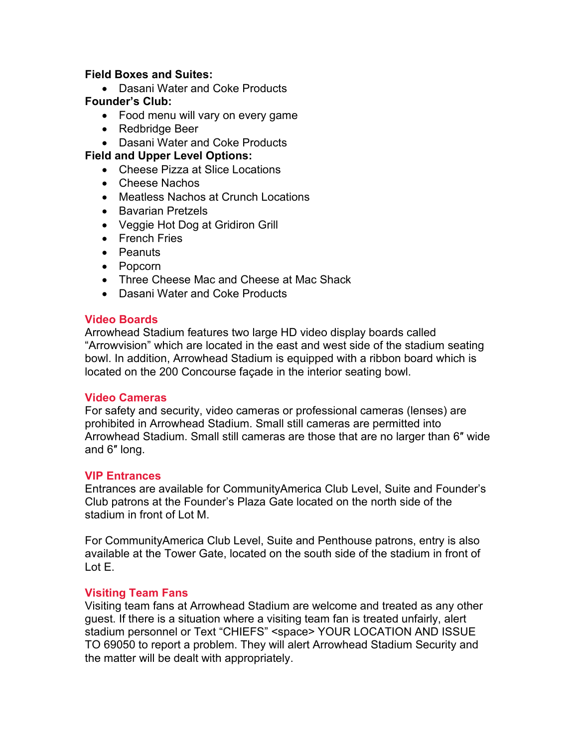### **Field Boxes and Suites:**

- Dasani Water and Coke Products **Founder's Club:**
	- Food menu will vary on every game
	- Redbridge Beer
	- Dasani Water and Coke Products

### **Field and Upper Level Options:**

- Cheese Pizza at Slice Locations
- Cheese Nachos
- Meatless Nachos at Crunch Locations
- Bavarian Pretzels
- Veggie Hot Dog at Gridiron Grill
- French Fries
- Peanuts
- Popcorn
- Three Cheese Mac and Cheese at Mac Shack
- Dasani Water and Coke Products

#### **Video Boards**

Arrowhead Stadium features two large HD video display boards called "Arrowvision" which are located in the east and west side of the stadium seating bowl. In addition, Arrowhead Stadium is equipped with a ribbon board which is located on the 200 Concourse façade in the interior seating bowl.

#### **Video Cameras**

For safety and security, video cameras or professional cameras (lenses) are prohibited in Arrowhead Stadium. Small still cameras are permitted into Arrowhead Stadium. Small still cameras are those that are no larger than 6″ wide and 6″ long.

#### **VIP Entrances**

Entrances are available for CommunityAmerica Club Level, Suite and Founder's Club patrons at the Founder's Plaza Gate located on the north side of the stadium in front of Lot M.

For CommunityAmerica Club Level, Suite and Penthouse patrons, entry is also available at the Tower Gate, located on the south side of the stadium in front of Lot E.

#### **Visiting Team Fans**

Visiting team fans at Arrowhead Stadium are welcome and treated as any other guest. If there is a situation where a visiting team fan is treated unfairly, alert stadium personnel or Text "CHIEFS" <space> YOUR LOCATION AND ISSUE TO 69050 to report a problem. They will alert Arrowhead Stadium Security and the matter will be dealt with appropriately.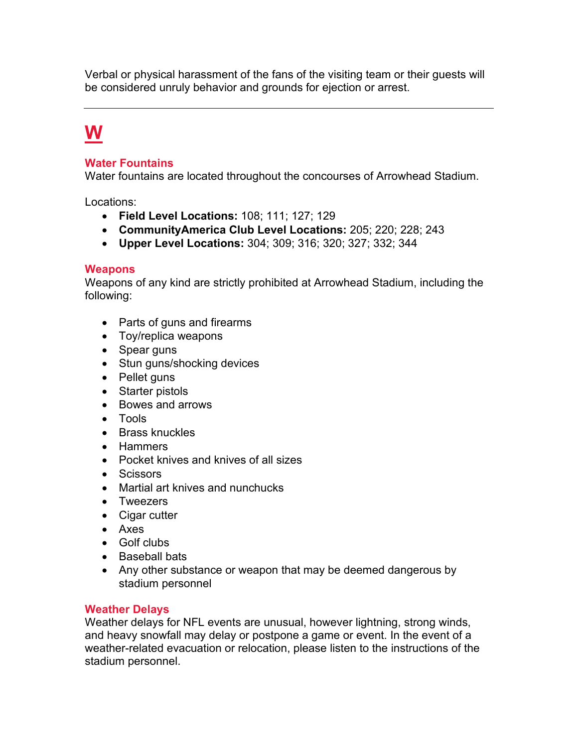Verbal or physical harassment of the fans of the visiting team or their guests will be considered unruly behavior and grounds for ejection or arrest.

## **W**

## **Water Fountains**

Water fountains are located throughout the concourses of Arrowhead Stadium.

Locations:

- **Field Level Locations:** 108; 111; 127; 129
- **CommunityAmerica Club Level Locations:** 205; 220; 228; 243
- **Upper Level Locations:** 304; 309; 316; 320; 327; 332; 344

### **Weapons**

Weapons of any kind are strictly prohibited at Arrowhead Stadium, including the following:

- Parts of guns and firearms
- Toy/replica weapons
- Spear guns
- Stun guns/shocking devices
- Pellet guns
- Starter pistols
- Bowes and arrows
- Tools
- Brass knuckles
- Hammers
- Pocket knives and knives of all sizes
- Scissors
- Martial art knives and nunchucks
- Tweezers
- Cigar cutter
- Axes
- Golf clubs
- Baseball bats
- Any other substance or weapon that may be deemed dangerous by stadium personnel

## **Weather Delays**

Weather delays for NFL events are unusual, however lightning, strong winds, and heavy snowfall may delay or postpone a game or event. In the event of a weather-related evacuation or relocation, please listen to the instructions of the stadium personnel.